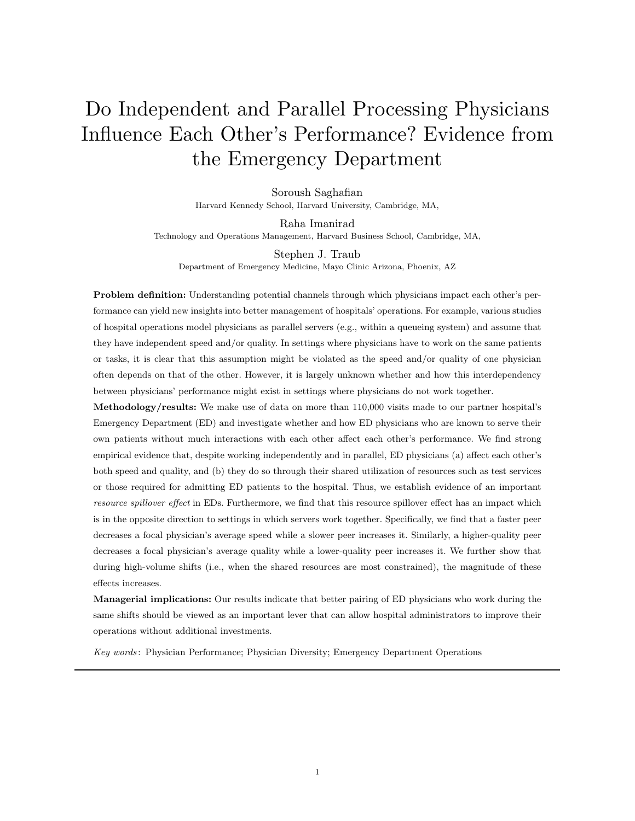# Do Independent and Parallel Processing Physicians Influence Each Other's Performance? Evidence from the Emergency Department

Soroush Saghafian Harvard Kennedy School, Harvard University, Cambridge, MA,

Raha Imanirad Technology and Operations Management, Harvard Business School, Cambridge, MA,

Stephen J. Traub Department of Emergency Medicine, Mayo Clinic Arizona, Phoenix, AZ

Problem definition: Understanding potential channels through which physicians impact each other's performance can yield new insights into better management of hospitals' operations. For example, various studies of hospital operations model physicians as parallel servers (e.g., within a queueing system) and assume that they have independent speed and/or quality. In settings where physicians have to work on the same patients or tasks, it is clear that this assumption might be violated as the speed and/or quality of one physician often depends on that of the other. However, it is largely unknown whether and how this interdependency between physicians' performance might exist in settings where physicians do not work together.

Methodology/results: We make use of data on more than 110,000 visits made to our partner hospital's Emergency Department (ED) and investigate whether and how ED physicians who are known to serve their own patients without much interactions with each other affect each other's performance. We find strong empirical evidence that, despite working independently and in parallel, ED physicians (a) affect each other's both speed and quality, and (b) they do so through their shared utilization of resources such as test services or those required for admitting ED patients to the hospital. Thus, we establish evidence of an important resource spillover effect in EDs. Furthermore, we find that this resource spillover effect has an impact which is in the opposite direction to settings in which servers work together. Specifically, we find that a faster peer decreases a focal physician's average speed while a slower peer increases it. Similarly, a higher-quality peer decreases a focal physician's average quality while a lower-quality peer increases it. We further show that during high-volume shifts (i.e., when the shared resources are most constrained), the magnitude of these effects increases.

Managerial implications: Our results indicate that better pairing of ED physicians who work during the same shifts should be viewed as an important lever that can allow hospital administrators to improve their operations without additional investments.

Key words : Physician Performance; Physician Diversity; Emergency Department Operations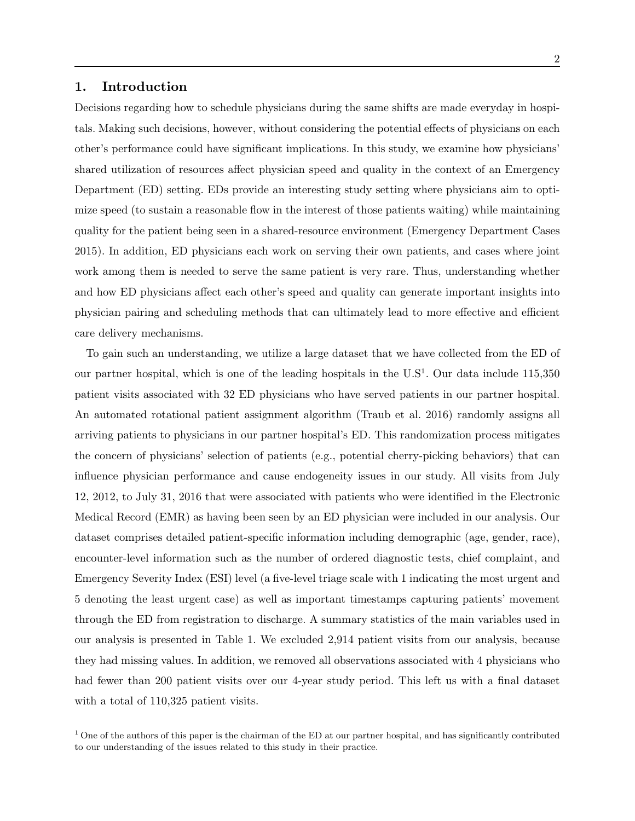# 1. Introduction

Decisions regarding how to schedule physicians during the same shifts are made everyday in hospitals. Making such decisions, however, without considering the potential effects of physicians on each other's performance could have significant implications. In this study, we examine how physicians' shared utilization of resources affect physician speed and quality in the context of an Emergency Department (ED) setting. EDs provide an interesting study setting where physicians aim to optimize speed (to sustain a reasonable flow in the interest of those patients waiting) while maintaining quality for the patient being seen in a shared-resource environment (Emergency Department Cases 2015). In addition, ED physicians each work on serving their own patients, and cases where joint work among them is needed to serve the same patient is very rare. Thus, understanding whether and how ED physicians affect each other's speed and quality can generate important insights into physician pairing and scheduling methods that can ultimately lead to more effective and efficient care delivery mechanisms.

To gain such an understanding, we utilize a large dataset that we have collected from the ED of our partner hospital, which is one of the leading hospitals in the U.S<sup>1</sup>. Our data include 115,350 patient visits associated with 32 ED physicians who have served patients in our partner hospital. An automated rotational patient assignment algorithm (Traub et al. 2016) randomly assigns all arriving patients to physicians in our partner hospital's ED. This randomization process mitigates the concern of physicians' selection of patients (e.g., potential cherry-picking behaviors) that can influence physician performance and cause endogeneity issues in our study. All visits from July 12, 2012, to July 31, 2016 that were associated with patients who were identified in the Electronic Medical Record (EMR) as having been seen by an ED physician were included in our analysis. Our dataset comprises detailed patient-specific information including demographic (age, gender, race), encounter-level information such as the number of ordered diagnostic tests, chief complaint, and Emergency Severity Index (ESI) level (a five-level triage scale with 1 indicating the most urgent and 5 denoting the least urgent case) as well as important timestamps capturing patients' movement through the ED from registration to discharge. A summary statistics of the main variables used in our analysis is presented in Table 1. We excluded 2,914 patient visits from our analysis, because they had missing values. In addition, we removed all observations associated with 4 physicians who had fewer than 200 patient visits over our 4-year study period. This left us with a final dataset with a total of 110,325 patient visits.

 $<sup>1</sup>$  One of the authors of this paper is the chairman of the ED at our partner hospital, and has significantly contributed</sup> to our understanding of the issues related to this study in their practice.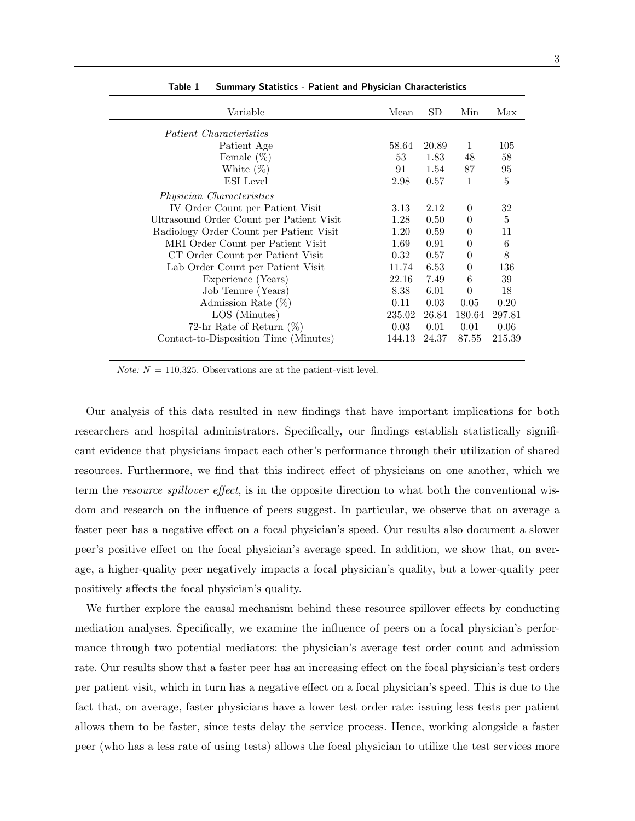| Variable                                 | Mean   | SD    | Min      | Max    |
|------------------------------------------|--------|-------|----------|--------|
| <i>Patient Characteristics</i>           |        |       |          |        |
| Patient Age                              | 58.64  | 20.89 | 1        | 105    |
| Female $(\%)$                            | 53     | 1.83  | 48       | 58     |
| White $(\%)$                             | 91     | 1.54  | 87       | 95     |
| <b>ESI</b> Level                         | 2.98   | 0.57  | 1        | 5      |
| <i>Physician Characteristics</i>         |        |       |          |        |
| IV Order Count per Patient Visit         | 3.13   | 2.12  | $\Omega$ | 32     |
| Ultrasound Order Count per Patient Visit | 1.28   | 0.50  | $\theta$ | 5      |
| Radiology Order Count per Patient Visit  | 1.20   | 0.59  | $\theta$ | 11     |
| MRI Order Count per Patient Visit        | 1.69   | 0.91  | $\theta$ | 6      |
| CT Order Count per Patient Visit         | 0.32   | 0.57  | $\Omega$ | 8      |
| Lab Order Count per Patient Visit        | 11.74  | 6.53  | $\theta$ | 136    |
| Experience (Years)                       | 22.16  | 7.49  | 6        | 39     |
| Job Tenure (Years)                       | 8.38   | 6.01  | $\theta$ | 18     |
| Admission Rate $(\%)$                    | 0.11   | 0.03  | 0.05     | 0.20   |
| LOS (Minutes)                            | 235.02 | 26.84 | 180.64   | 297.81 |
| 72-hr Rate of Return $(\%)$              | 0.03   | 0.01  | 0.01     | 0.06   |
| Contact-to-Disposition Time (Minutes)    | 144.13 | 24.37 | 87.55    | 215.39 |

Table 1 Summary Statistics - Patient and Physician Characteristics

*Note:*  $N = 110,325$ . Observations are at the patient-visit level.

Our analysis of this data resulted in new findings that have important implications for both researchers and hospital administrators. Specifically, our findings establish statistically significant evidence that physicians impact each other's performance through their utilization of shared resources. Furthermore, we find that this indirect effect of physicians on one another, which we term the *resource spillover effect*, is in the opposite direction to what both the conventional wisdom and research on the influence of peers suggest. In particular, we observe that on average a faster peer has a negative effect on a focal physician's speed. Our results also document a slower peer's positive effect on the focal physician's average speed. In addition, we show that, on average, a higher-quality peer negatively impacts a focal physician's quality, but a lower-quality peer positively affects the focal physician's quality.

We further explore the causal mechanism behind these resource spillover effects by conducting mediation analyses. Specifically, we examine the influence of peers on a focal physician's performance through two potential mediators: the physician's average test order count and admission rate. Our results show that a faster peer has an increasing effect on the focal physician's test orders per patient visit, which in turn has a negative effect on a focal physician's speed. This is due to the fact that, on average, faster physicians have a lower test order rate: issuing less tests per patient allows them to be faster, since tests delay the service process. Hence, working alongside a faster peer (who has a less rate of using tests) allows the focal physician to utilize the test services more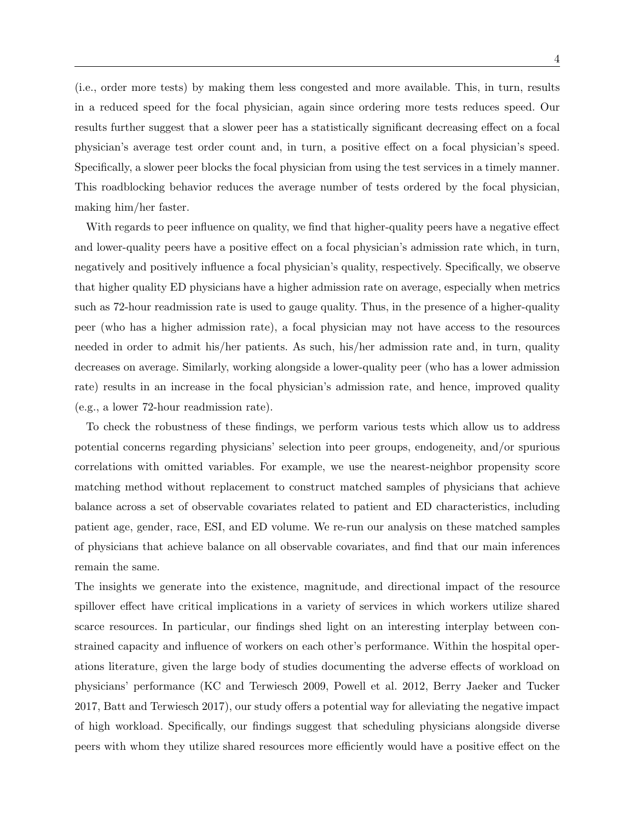(i.e., order more tests) by making them less congested and more available. This, in turn, results in a reduced speed for the focal physician, again since ordering more tests reduces speed. Our results further suggest that a slower peer has a statistically significant decreasing effect on a focal physician's average test order count and, in turn, a positive effect on a focal physician's speed. Specifically, a slower peer blocks the focal physician from using the test services in a timely manner. This roadblocking behavior reduces the average number of tests ordered by the focal physician, making him/her faster.

With regards to peer influence on quality, we find that higher-quality peers have a negative effect and lower-quality peers have a positive effect on a focal physician's admission rate which, in turn, negatively and positively influence a focal physician's quality, respectively. Specifically, we observe that higher quality ED physicians have a higher admission rate on average, especially when metrics such as 72-hour readmission rate is used to gauge quality. Thus, in the presence of a higher-quality peer (who has a higher admission rate), a focal physician may not have access to the resources needed in order to admit his/her patients. As such, his/her admission rate and, in turn, quality decreases on average. Similarly, working alongside a lower-quality peer (who has a lower admission rate) results in an increase in the focal physician's admission rate, and hence, improved quality (e.g., a lower 72-hour readmission rate).

To check the robustness of these findings, we perform various tests which allow us to address potential concerns regarding physicians' selection into peer groups, endogeneity, and/or spurious correlations with omitted variables. For example, we use the nearest-neighbor propensity score matching method without replacement to construct matched samples of physicians that achieve balance across a set of observable covariates related to patient and ED characteristics, including patient age, gender, race, ESI, and ED volume. We re-run our analysis on these matched samples of physicians that achieve balance on all observable covariates, and find that our main inferences remain the same.

The insights we generate into the existence, magnitude, and directional impact of the resource spillover effect have critical implications in a variety of services in which workers utilize shared scarce resources. In particular, our findings shed light on an interesting interplay between constrained capacity and influence of workers on each other's performance. Within the hospital operations literature, given the large body of studies documenting the adverse effects of workload on physicians' performance (KC and Terwiesch 2009, Powell et al. 2012, Berry Jaeker and Tucker 2017, Batt and Terwiesch 2017), our study offers a potential way for alleviating the negative impact of high workload. Specifically, our findings suggest that scheduling physicians alongside diverse peers with whom they utilize shared resources more efficiently would have a positive effect on the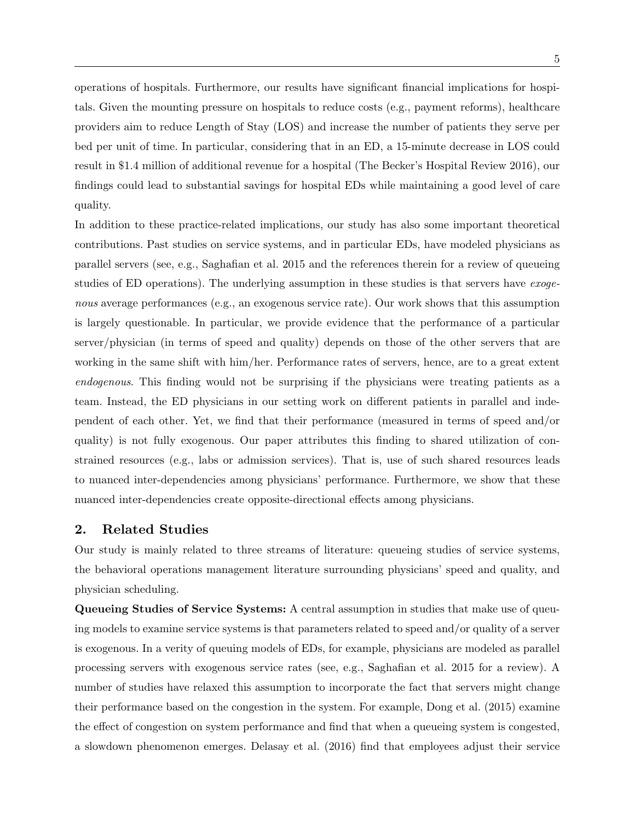operations of hospitals. Furthermore, our results have significant financial implications for hospitals. Given the mounting pressure on hospitals to reduce costs (e.g., payment reforms), healthcare providers aim to reduce Length of Stay (LOS) and increase the number of patients they serve per bed per unit of time. In particular, considering that in an ED, a 15-minute decrease in LOS could result in \$1.4 million of additional revenue for a hospital (The Becker's Hospital Review 2016), our findings could lead to substantial savings for hospital EDs while maintaining a good level of care quality.

In addition to these practice-related implications, our study has also some important theoretical contributions. Past studies on service systems, and in particular EDs, have modeled physicians as parallel servers (see, e.g., Saghafian et al. 2015 and the references therein for a review of queueing studies of ED operations). The underlying assumption in these studies is that servers have exogenous average performances (e.g., an exogenous service rate). Our work shows that this assumption is largely questionable. In particular, we provide evidence that the performance of a particular server/physician (in terms of speed and quality) depends on those of the other servers that are working in the same shift with him/her. Performance rates of servers, hence, are to a great extent endogenous. This finding would not be surprising if the physicians were treating patients as a team. Instead, the ED physicians in our setting work on different patients in parallel and independent of each other. Yet, we find that their performance (measured in terms of speed and/or quality) is not fully exogenous. Our paper attributes this finding to shared utilization of constrained resources (e.g., labs or admission services). That is, use of such shared resources leads to nuanced inter-dependencies among physicians' performance. Furthermore, we show that these nuanced inter-dependencies create opposite-directional effects among physicians.

## 2. Related Studies

Our study is mainly related to three streams of literature: queueing studies of service systems, the behavioral operations management literature surrounding physicians' speed and quality, and physician scheduling.

Queueing Studies of Service Systems: A central assumption in studies that make use of queuing models to examine service systems is that parameters related to speed and/or quality of a server is exogenous. In a verity of queuing models of EDs, for example, physicians are modeled as parallel processing servers with exogenous service rates (see, e.g., Saghafian et al. 2015 for a review). A number of studies have relaxed this assumption to incorporate the fact that servers might change their performance based on the congestion in the system. For example, Dong et al. (2015) examine the effect of congestion on system performance and find that when a queueing system is congested, a slowdown phenomenon emerges. Delasay et al. (2016) find that employees adjust their service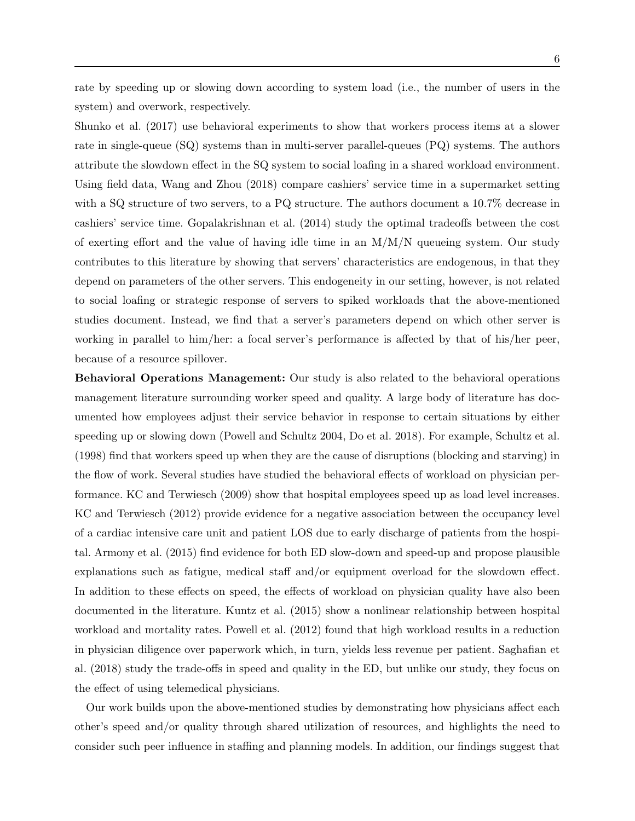rate by speeding up or slowing down according to system load (i.e., the number of users in the system) and overwork, respectively.

Shunko et al. (2017) use behavioral experiments to show that workers process items at a slower rate in single-queue (SQ) systems than in multi-server parallel-queues (PQ) systems. The authors attribute the slowdown effect in the SQ system to social loafing in a shared workload environment. Using field data, Wang and Zhou (2018) compare cashiers' service time in a supermarket setting with a SQ structure of two servers, to a PQ structure. The authors document a 10.7% decrease in cashiers' service time. Gopalakrishnan et al. (2014) study the optimal tradeoffs between the cost of exerting effort and the value of having idle time in an  $M/M/N$  queueing system. Our study contributes to this literature by showing that servers' characteristics are endogenous, in that they depend on parameters of the other servers. This endogeneity in our setting, however, is not related to social loafing or strategic response of servers to spiked workloads that the above-mentioned studies document. Instead, we find that a server's parameters depend on which other server is working in parallel to him/her: a focal server's performance is affected by that of his/her peer, because of a resource spillover.

Behavioral Operations Management: Our study is also related to the behavioral operations management literature surrounding worker speed and quality. A large body of literature has documented how employees adjust their service behavior in response to certain situations by either speeding up or slowing down (Powell and Schultz 2004, Do et al. 2018). For example, Schultz et al. (1998) find that workers speed up when they are the cause of disruptions (blocking and starving) in the flow of work. Several studies have studied the behavioral effects of workload on physician performance. KC and Terwiesch (2009) show that hospital employees speed up as load level increases. KC and Terwiesch (2012) provide evidence for a negative association between the occupancy level of a cardiac intensive care unit and patient LOS due to early discharge of patients from the hospital. Armony et al. (2015) find evidence for both ED slow-down and speed-up and propose plausible explanations such as fatigue, medical staff and/or equipment overload for the slowdown effect. In addition to these effects on speed, the effects of workload on physician quality have also been documented in the literature. Kuntz et al. (2015) show a nonlinear relationship between hospital workload and mortality rates. Powell et al. (2012) found that high workload results in a reduction in physician diligence over paperwork which, in turn, yields less revenue per patient. Saghafian et al. (2018) study the trade-offs in speed and quality in the ED, but unlike our study, they focus on the effect of using telemedical physicians.

Our work builds upon the above-mentioned studies by demonstrating how physicians affect each other's speed and/or quality through shared utilization of resources, and highlights the need to consider such peer influence in staffing and planning models. In addition, our findings suggest that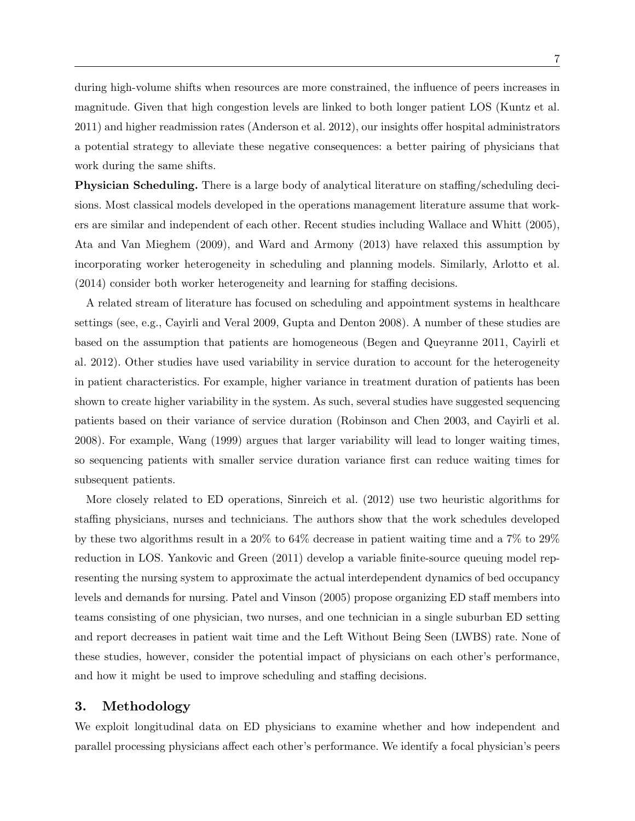during high-volume shifts when resources are more constrained, the influence of peers increases in magnitude. Given that high congestion levels are linked to both longer patient LOS (Kuntz et al. 2011) and higher readmission rates (Anderson et al. 2012), our insights offer hospital administrators a potential strategy to alleviate these negative consequences: a better pairing of physicians that work during the same shifts.

Physician Scheduling. There is a large body of analytical literature on staffing/scheduling decisions. Most classical models developed in the operations management literature assume that workers are similar and independent of each other. Recent studies including Wallace and Whitt (2005), Ata and Van Mieghem (2009), and Ward and Armony (2013) have relaxed this assumption by incorporating worker heterogeneity in scheduling and planning models. Similarly, Arlotto et al. (2014) consider both worker heterogeneity and learning for staffing decisions.

A related stream of literature has focused on scheduling and appointment systems in healthcare settings (see, e.g., Cayirli and Veral 2009, Gupta and Denton 2008). A number of these studies are based on the assumption that patients are homogeneous (Begen and Queyranne 2011, Cayirli et al. 2012). Other studies have used variability in service duration to account for the heterogeneity in patient characteristics. For example, higher variance in treatment duration of patients has been shown to create higher variability in the system. As such, several studies have suggested sequencing patients based on their variance of service duration (Robinson and Chen 2003, and Cayirli et al. 2008). For example, Wang (1999) argues that larger variability will lead to longer waiting times, so sequencing patients with smaller service duration variance first can reduce waiting times for subsequent patients.

More closely related to ED operations, Sinreich et al. (2012) use two heuristic algorithms for staffing physicians, nurses and technicians. The authors show that the work schedules developed by these two algorithms result in a 20% to 64% decrease in patient waiting time and a 7% to 29% reduction in LOS. Yankovic and Green (2011) develop a variable finite-source queuing model representing the nursing system to approximate the actual interdependent dynamics of bed occupancy levels and demands for nursing. Patel and Vinson (2005) propose organizing ED staff members into teams consisting of one physician, two nurses, and one technician in a single suburban ED setting and report decreases in patient wait time and the Left Without Being Seen (LWBS) rate. None of these studies, however, consider the potential impact of physicians on each other's performance, and how it might be used to improve scheduling and staffing decisions.

# 3. Methodology

We exploit longitudinal data on ED physicians to examine whether and how independent and parallel processing physicians affect each other's performance. We identify a focal physician's peers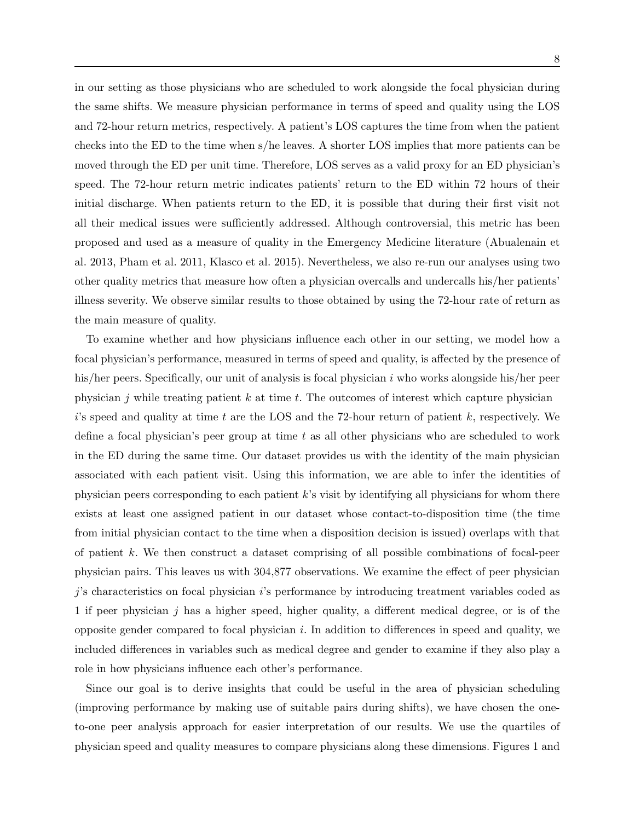in our setting as those physicians who are scheduled to work alongside the focal physician during the same shifts. We measure physician performance in terms of speed and quality using the LOS and 72-hour return metrics, respectively. A patient's LOS captures the time from when the patient checks into the ED to the time when s/he leaves. A shorter LOS implies that more patients can be moved through the ED per unit time. Therefore, LOS serves as a valid proxy for an ED physician's speed. The 72-hour return metric indicates patients' return to the ED within 72 hours of their initial discharge. When patients return to the ED, it is possible that during their first visit not all their medical issues were sufficiently addressed. Although controversial, this metric has been proposed and used as a measure of quality in the Emergency Medicine literature (Abualenain et al. 2013, Pham et al. 2011, Klasco et al. 2015). Nevertheless, we also re-run our analyses using two other quality metrics that measure how often a physician overcalls and undercalls his/her patients' illness severity. We observe similar results to those obtained by using the 72-hour rate of return as the main measure of quality.

To examine whether and how physicians influence each other in our setting, we model how a focal physician's performance, measured in terms of speed and quality, is affected by the presence of his/her peers. Specifically, our unit of analysis is focal physician  $i$  who works alongside his/her peer physician j while treating patient  $k$  at time  $t$ . The outcomes of interest which capture physician  $i$ 's speed and quality at time t are the LOS and the 72-hour return of patient k, respectively. We define a focal physician's peer group at time  $t$  as all other physicians who are scheduled to work in the ED during the same time. Our dataset provides us with the identity of the main physician associated with each patient visit. Using this information, we are able to infer the identities of physician peers corresponding to each patient  $k$ 's visit by identifying all physicians for whom there exists at least one assigned patient in our dataset whose contact-to-disposition time (the time from initial physician contact to the time when a disposition decision is issued) overlaps with that of patient  $k$ . We then construct a dataset comprising of all possible combinations of focal-peer physician pairs. This leaves us with 304,877 observations. We examine the effect of peer physician j's characteristics on focal physician i's performance by introducing treatment variables coded as 1 if peer physician j has a higher speed, higher quality, a different medical degree, or is of the opposite gender compared to focal physician i. In addition to differences in speed and quality, we included differences in variables such as medical degree and gender to examine if they also play a role in how physicians influence each other's performance.

Since our goal is to derive insights that could be useful in the area of physician scheduling (improving performance by making use of suitable pairs during shifts), we have chosen the oneto-one peer analysis approach for easier interpretation of our results. We use the quartiles of physician speed and quality measures to compare physicians along these dimensions. Figures 1 and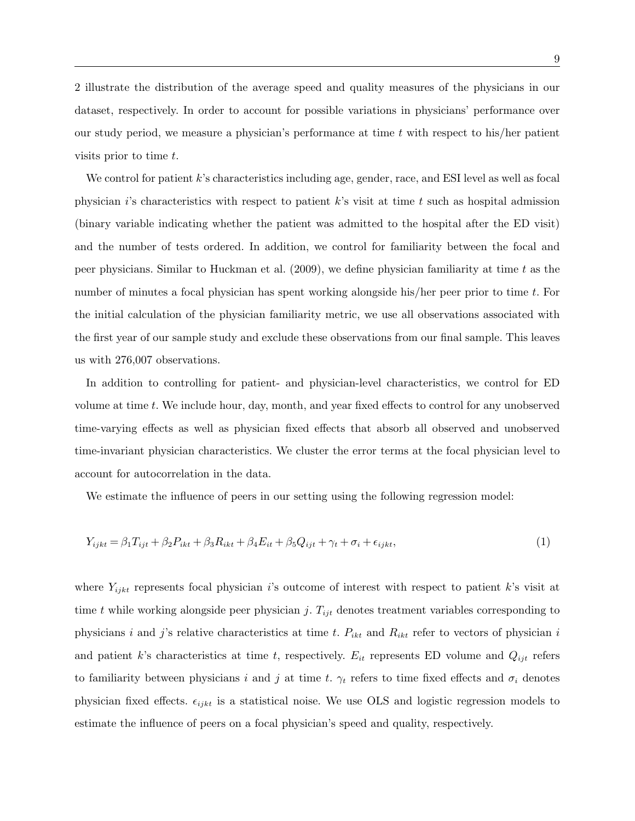2 illustrate the distribution of the average speed and quality measures of the physicians in our dataset, respectively. In order to account for possible variations in physicians' performance over our study period, we measure a physician's performance at time  $t$  with respect to his/her patient visits prior to time t.

We control for patient  $k$ 's characteristics including age, gender, race, and ESI level as well as focal physician i's characteristics with respect to patient k's visit at time t such as hospital admission (binary variable indicating whether the patient was admitted to the hospital after the ED visit) and the number of tests ordered. In addition, we control for familiarity between the focal and peer physicians. Similar to Huckman et al.  $(2009)$ , we define physician familiarity at time t as the number of minutes a focal physician has spent working alongside his/her peer prior to time t. For the initial calculation of the physician familiarity metric, we use all observations associated with the first year of our sample study and exclude these observations from our final sample. This leaves us with 276,007 observations.

In addition to controlling for patient- and physician-level characteristics, we control for ED volume at time t. We include hour, day, month, and year fixed effects to control for any unobserved time-varying effects as well as physician fixed effects that absorb all observed and unobserved time-invariant physician characteristics. We cluster the error terms at the focal physician level to account for autocorrelation in the data.

We estimate the influence of peers in our setting using the following regression model:

$$
Y_{ijkt} = \beta_1 T_{ijt} + \beta_2 P_{ikt} + \beta_3 R_{ikt} + \beta_4 E_{it} + \beta_5 Q_{ijt} + \gamma_t + \sigma_i + \epsilon_{ijkt},\tag{1}
$$

where  $Y_{i,jkt}$  represents focal physician is outcome of interest with respect to patient k's visit at time t while working alongside peer physician j.  $T_{ijt}$  denotes treatment variables corresponding to physicians i and j's relative characteristics at time t.  $P_{ikt}$  and  $R_{ikt}$  refer to vectors of physician i and patient k's characteristics at time t, respectively.  $E_{it}$  represents ED volume and  $Q_{ijt}$  refers to familiarity between physicians i and j at time t.  $\gamma_t$  refers to time fixed effects and  $\sigma_i$  denotes physician fixed effects.  $\epsilon_{i j k t}$  is a statistical noise. We use OLS and logistic regression models to estimate the influence of peers on a focal physician's speed and quality, respectively.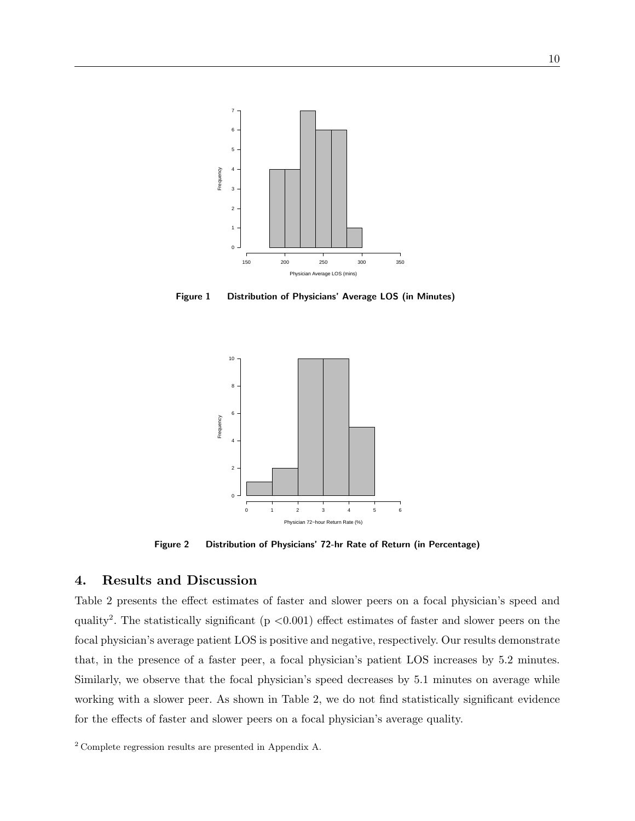

Figure 1 Distribution of Physicians' Average LOS (in Minutes)



Figure 2 Distribution of Physicians' 72-hr Rate of Return (in Percentage)

## 4. Results and Discussion

Table 2 presents the effect estimates of faster and slower peers on a focal physician's speed and quality<sup>2</sup>. The statistically significant ( $p < 0.001$ ) effect estimates of faster and slower peers on the focal physician's average patient LOS is positive and negative, respectively. Our results demonstrate that, in the presence of a faster peer, a focal physician's patient LOS increases by 5.2 minutes. Similarly, we observe that the focal physician's speed decreases by 5.1 minutes on average while working with a slower peer. As shown in Table 2, we do not find statistically significant evidence for the effects of faster and slower peers on a focal physician's average quality.

<sup>2</sup> Complete regression results are presented in Appendix A.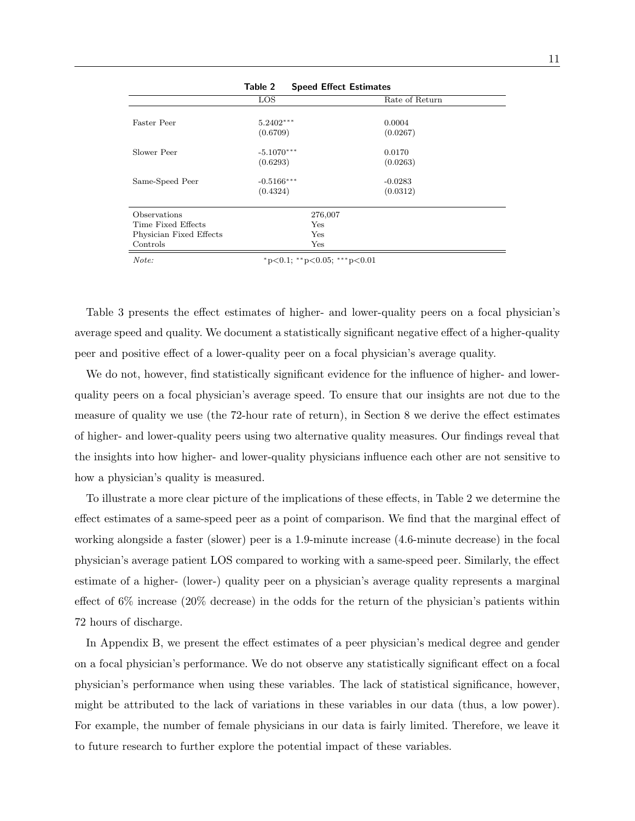|                         | rabie z<br>Speed Effect Estimates |                |
|-------------------------|-----------------------------------|----------------|
|                         | <b>LOS</b>                        | Rate of Return |
|                         |                                   |                |
| Faster Peer             | $5.2402***$                       | 0.0004         |
|                         | (0.6709)                          | (0.0267)       |
| Slower Peer             | $-5.1070***$                      | 0.0170         |
|                         | (0.6293)                          | (0.0263)       |
| Same-Speed Peer         | $-0.5166***$                      | $-0.0283$      |
|                         | (0.4324)                          | (0.0312)       |
| Observations            | 276,007                           |                |
| Time Fixed Effects      | Yes                               |                |
| Physician Fixed Effects | Yes                               |                |
| Controls                | Yes                               |                |

Table 2 Speed Effect Estimates

Note: \*\*\*p<0.1; \*\*p<0.05; \*\*\*p<0.01

Table 3 presents the effect estimates of higher- and lower-quality peers on a focal physician's average speed and quality. We document a statistically significant negative effect of a higher-quality peer and positive effect of a lower-quality peer on a focal physician's average quality.

We do not, however, find statistically significant evidence for the influence of higher- and lowerquality peers on a focal physician's average speed. To ensure that our insights are not due to the measure of quality we use (the 72-hour rate of return), in Section 8 we derive the effect estimates of higher- and lower-quality peers using two alternative quality measures. Our findings reveal that the insights into how higher- and lower-quality physicians influence each other are not sensitive to how a physician's quality is measured.

To illustrate a more clear picture of the implications of these effects, in Table 2 we determine the effect estimates of a same-speed peer as a point of comparison. We find that the marginal effect of working alongside a faster (slower) peer is a 1.9-minute increase (4.6-minute decrease) in the focal physician's average patient LOS compared to working with a same-speed peer. Similarly, the effect estimate of a higher- (lower-) quality peer on a physician's average quality represents a marginal effect of  $6\%$  increase (20% decrease) in the odds for the return of the physician's patients within 72 hours of discharge.

In Appendix B, we present the effect estimates of a peer physician's medical degree and gender on a focal physician's performance. We do not observe any statistically significant effect on a focal physician's performance when using these variables. The lack of statistical significance, however, might be attributed to the lack of variations in these variables in our data (thus, a low power). For example, the number of female physicians in our data is fairly limited. Therefore, we leave it to future research to further explore the potential impact of these variables.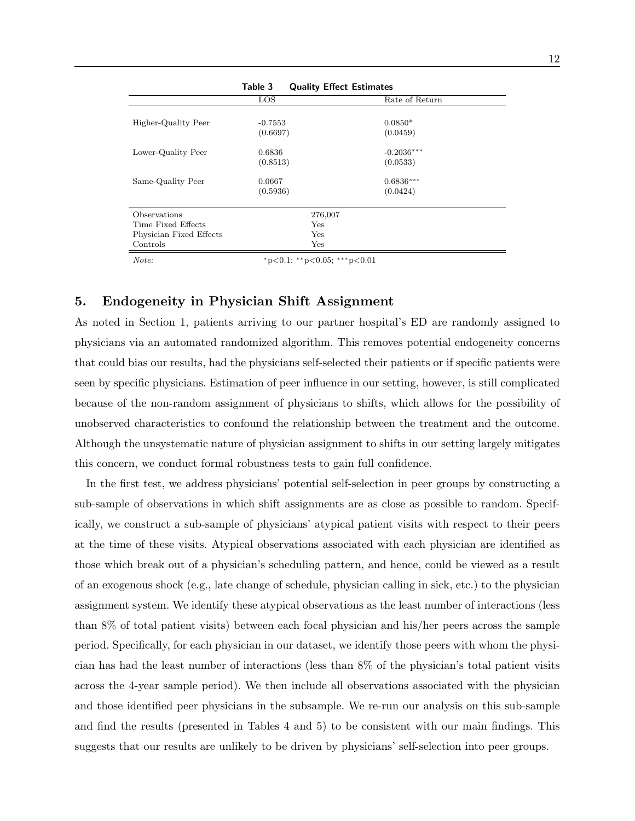|                         | Table 3<br><b>Quality Effect Estimates</b> |                |
|-------------------------|--------------------------------------------|----------------|
|                         | <b>LOS</b>                                 | Rate of Return |
|                         |                                            |                |
| Higher-Quality Peer     | $-0.7553$                                  | $0.0850*$      |
|                         | (0.6697)                                   | (0.0459)       |
| Lower-Quality Peer      | 0.6836                                     | $-0.2036***$   |
|                         | (0.8513)                                   | (0.0533)       |
| Same-Quality Peer       | 0.0667                                     | $0.6836***$    |
|                         | (0.5936)                                   | (0.0424)       |
| Observations            | 276,007                                    |                |
| Time Fixed Effects      | Yes                                        |                |
| Physician Fixed Effects | Yes                                        |                |
| Controls                | Yes                                        |                |
|                         |                                            |                |

Note: \*\*\*p<0.1; \*\*p<0.05; \*\*\*p<0.01

# 5. Endogeneity in Physician Shift Assignment

As noted in Section 1, patients arriving to our partner hospital's ED are randomly assigned to physicians via an automated randomized algorithm. This removes potential endogeneity concerns that could bias our results, had the physicians self-selected their patients or if specific patients were seen by specific physicians. Estimation of peer influence in our setting, however, is still complicated because of the non-random assignment of physicians to shifts, which allows for the possibility of unobserved characteristics to confound the relationship between the treatment and the outcome. Although the unsystematic nature of physician assignment to shifts in our setting largely mitigates this concern, we conduct formal robustness tests to gain full confidence.

In the first test, we address physicians' potential self-selection in peer groups by constructing a sub-sample of observations in which shift assignments are as close as possible to random. Specifically, we construct a sub-sample of physicians' atypical patient visits with respect to their peers at the time of these visits. Atypical observations associated with each physician are identified as those which break out of a physician's scheduling pattern, and hence, could be viewed as a result of an exogenous shock (e.g., late change of schedule, physician calling in sick, etc.) to the physician assignment system. We identify these atypical observations as the least number of interactions (less than 8% of total patient visits) between each focal physician and his/her peers across the sample period. Specifically, for each physician in our dataset, we identify those peers with whom the physician has had the least number of interactions (less than 8% of the physician's total patient visits across the 4-year sample period). We then include all observations associated with the physician and those identified peer physicians in the subsample. We re-run our analysis on this sub-sample and find the results (presented in Tables 4 and 5) to be consistent with our main findings. This suggests that our results are unlikely to be driven by physicians' self-selection into peer groups.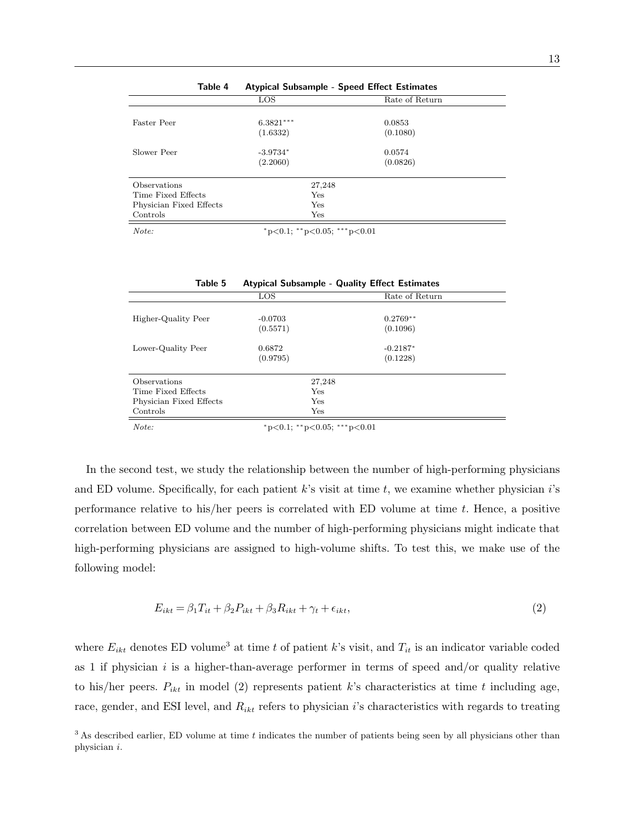| Table 4                 | <b>Atypical Subsample - Speed Effect Estimates</b> |                |
|-------------------------|----------------------------------------------------|----------------|
|                         | LOS                                                | Rate of Return |
| Faster Peer             | $6.3821***$                                        | 0.0853         |
|                         | (1.6332)                                           | (0.1080)       |
| Slower Peer             | $-3.9734*$                                         | 0.0574         |
|                         | (2.2060)                                           | (0.0826)       |
| Observations            | 27,248                                             |                |
| Time Fixed Effects      | Yes                                                |                |
| Physician Fixed Effects | Yes                                                |                |
| Controls                | Yes                                                |                |
| Note:                   | *p<0.1; **p<0.05; ***p<0.01                        |                |

| Table 5                 | <b>Atypical Subsample - Quality Effect Estimates</b> |                |
|-------------------------|------------------------------------------------------|----------------|
|                         | LOS                                                  | Rate of Return |
|                         |                                                      |                |
| Higher-Quality Peer     | $-0.0703$                                            | $0.2769**$     |
|                         | (0.5571)                                             | (0.1096)       |
| Lower-Quality Peer      | 0.6872                                               | $-0.2187*$     |
|                         | (0.9795)                                             | (0.1228)       |
| Observations            | 27,248                                               |                |
| Time Fixed Effects      | Yes                                                  |                |
| Physician Fixed Effects | Yes                                                  |                |
| Controls                | Yes                                                  |                |
| Note:                   | *p<0.1; **p<0.05; ***p<0.01                          |                |

In the second test, we study the relationship between the number of high-performing physicians and ED volume. Specifically, for each patient k's visit at time t, we examine whether physician  $i$ 's performance relative to his/her peers is correlated with ED volume at time  $t$ . Hence, a positive correlation between ED volume and the number of high-performing physicians might indicate that high-performing physicians are assigned to high-volume shifts. To test this, we make use of the following model:

$$
E_{ikt} = \beta_1 T_{it} + \beta_2 P_{ikt} + \beta_3 R_{ikt} + \gamma_t + \epsilon_{ikt},\tag{2}
$$

where  $E_{ikt}$  denotes ED volume<sup>3</sup> at time t of patient k's visit, and  $T_{it}$  is an indicator variable coded as 1 if physician  $i$  is a higher-than-average performer in terms of speed and/or quality relative to his/her peers.  $P_{ikt}$  in model (2) represents patient k's characteristics at time t including age, race, gender, and ESI level, and  $R_{ikt}$  refers to physician i's characteristics with regards to treating

 $3$  As described earlier, ED volume at time t indicates the number of patients being seen by all physicians other than physician i.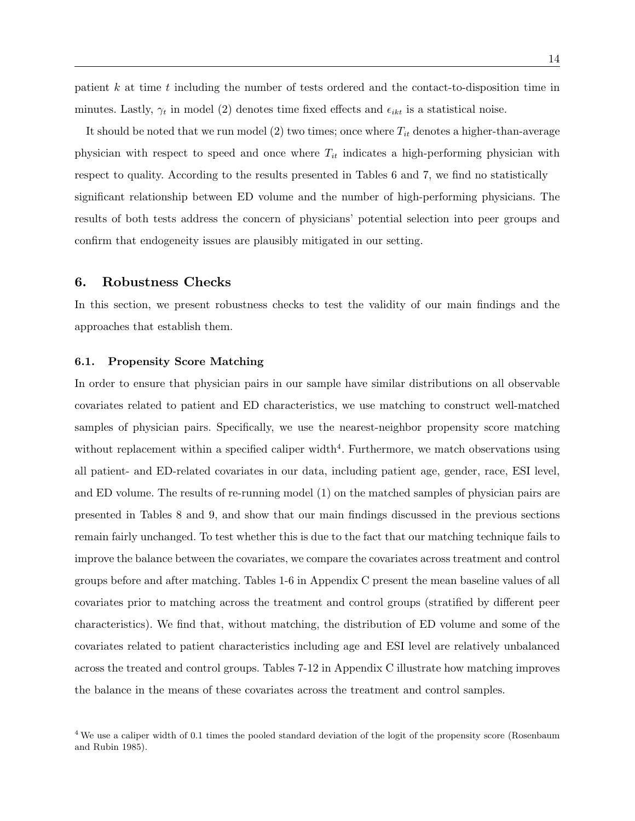patient  $k$  at time  $t$  including the number of tests ordered and the contact-to-disposition time in minutes. Lastly,  $\gamma_t$  in model (2) denotes time fixed effects and  $\epsilon_{ikt}$  is a statistical noise.

It should be noted that we run model (2) two times; once where  $T_{it}$  denotes a higher-than-average physician with respect to speed and once where  $T_{it}$  indicates a high-performing physician with respect to quality. According to the results presented in Tables 6 and 7, we find no statistically significant relationship between ED volume and the number of high-performing physicians. The results of both tests address the concern of physicians' potential selection into peer groups and confirm that endogeneity issues are plausibly mitigated in our setting.

#### 6. Robustness Checks

In this section, we present robustness checks to test the validity of our main findings and the approaches that establish them.

#### 6.1. Propensity Score Matching

In order to ensure that physician pairs in our sample have similar distributions on all observable covariates related to patient and ED characteristics, we use matching to construct well-matched samples of physician pairs. Specifically, we use the nearest-neighbor propensity score matching without replacement within a specified caliper width<sup>4</sup>. Furthermore, we match observations using all patient- and ED-related covariates in our data, including patient age, gender, race, ESI level, and ED volume. The results of re-running model (1) on the matched samples of physician pairs are presented in Tables 8 and 9, and show that our main findings discussed in the previous sections remain fairly unchanged. To test whether this is due to the fact that our matching technique fails to improve the balance between the covariates, we compare the covariates across treatment and control groups before and after matching. Tables 1-6 in Appendix C present the mean baseline values of all covariates prior to matching across the treatment and control groups (stratified by different peer characteristics). We find that, without matching, the distribution of ED volume and some of the covariates related to patient characteristics including age and ESI level are relatively unbalanced across the treated and control groups. Tables 7-12 in Appendix C illustrate how matching improves the balance in the means of these covariates across the treatment and control samples.

<sup>&</sup>lt;sup>4</sup> We use a caliper width of 0.1 times the pooled standard deviation of the logit of the propensity score (Rosenbaum and Rubin 1985).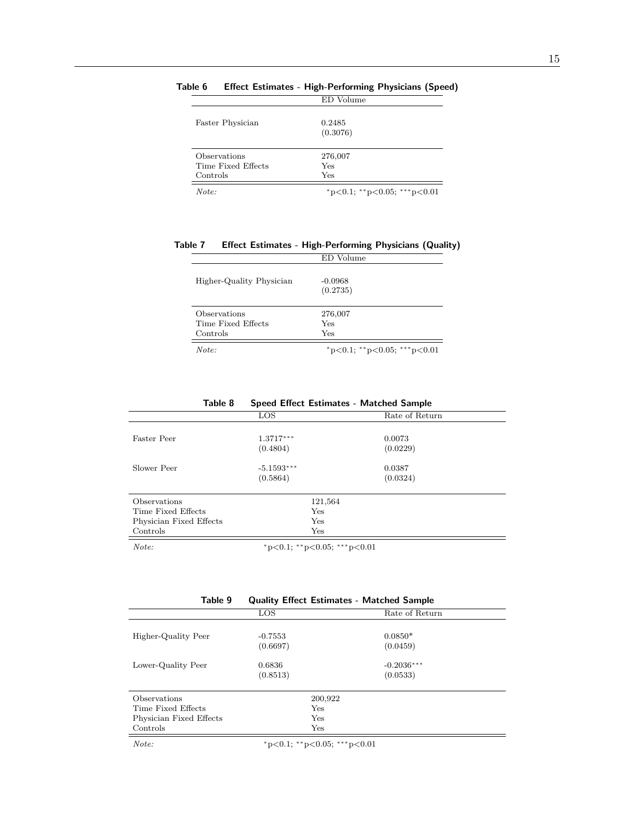|                    | ED Volume                   |
|--------------------|-----------------------------|
| Faster Physician   | 0.2485<br>(0.3076)          |
| Observations       | 276,007                     |
| Time Fixed Effects | Yes                         |
| Controls           | Yes                         |
| Note:              | *p<0.1; **p<0.05; ***p<0.01 |

#### Table 6 Effect Estimates - High-Performing Physicians (Speed)

Table 7 Effect Estimates - High-Performing Physicians (Quality)

|                          | ED Volume                   |
|--------------------------|-----------------------------|
| Higher-Quality Physician | $-0.0968$<br>(0.2735)       |
| Observations             | 276,007                     |
| Time Fixed Effects       | Yes                         |
| Controls                 | Yes                         |
| Note:                    | *p<0.1; **p<0.05; ***p<0.01 |

| <b>Speed Effect Estimates - Matched Sample</b> | Table 8 |  |  |  |  |  |
|------------------------------------------------|---------|--|--|--|--|--|
|------------------------------------------------|---------|--|--|--|--|--|

| LOS                         | Rate of Return |
|-----------------------------|----------------|
|                             |                |
| 1.3717***                   | 0.0073         |
| (0.4804)                    | (0.0229)       |
|                             |                |
| $-5.1593***$                | 0.0387         |
| (0.5864)                    | (0.0324)       |
|                             |                |
| 121,564                     |                |
| Yes                         |                |
| $_{\rm Yes}$                |                |
| Yes                         |                |
| *p<0.1; **p<0.05; ***p<0.01 |                |
|                             |                |

| Table 9             |                       | <b>Quality Effect Estimates - Matched Sample</b> |
|---------------------|-----------------------|--------------------------------------------------|
|                     | LOS                   | Rate of Return                                   |
| Higher-Quality Peer | $-0.7553$<br>(0.6697) | $0.0850*$<br>(0.0459)                            |
| Lower-Quality Peer  | 0.6836<br>(0.8513)    | $-0.2036***$<br>(0.0533)                         |

| Observations            | 200,922                     |  |
|-------------------------|-----------------------------|--|
| Time Fixed Effects      | Yes                         |  |
| Physician Fixed Effects | Yes                         |  |
| Controls                | Yes                         |  |
| Note:                   | *p<0.1; **p<0.05; ***p<0.01 |  |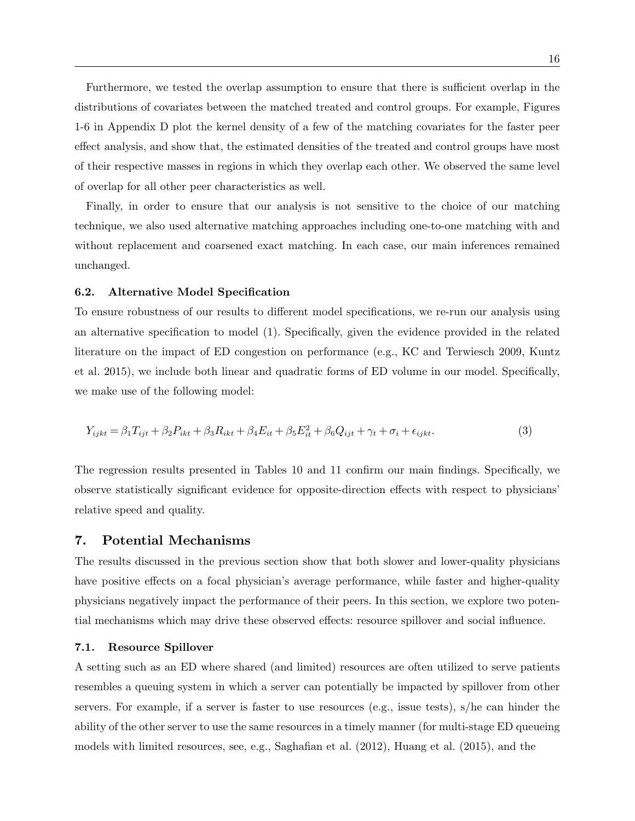Furthermore, we tested the overlap assumption to ensure that there is sufficient overlap in the distributions of covariates between the matched treated and control groups. For example, Figures 1-6 in Appendix D plot the kernel density of a few of the matching covariates for the faster peer effect analysis, and show that, the estimated densities of the treated and control groups have most of their respective masses in regions in which they overlap each other. We observed the same level of overlap for all other peer characteristics as well.

Finally, in order to ensure that our analysis is not sensitive to the choice of our matching technique, we also used alternative matching approaches including one-to-one matching with and without replacement and coarsened exact matching. In each case, our main inferences remained unchanged.

#### 6.2. Alternative Model Specification

To ensure robustness of our results to different model specifications, we re-run our analysis using an alternative specification to model (1). Specifically, given the evidence provided in the related literature on the impact of ED congestion on performance (e.g., KC and Terwiesch 2009, Kuntz et al. 2015), we include both linear and quadratic forms of ED volume in our model. Specifically, we make use of the following model:

$$
Y_{ijkt} = \beta_1 T_{ijt} + \beta_2 P_{ikt} + \beta_3 R_{ikt} + \beta_4 E_{it} + \beta_5 E_{it}^2 + \beta_6 Q_{ijt} + \gamma_t + \sigma_i + \epsilon_{ijkt}.
$$
 (3)

The regression results presented in Tables 10 and 11 confirm our main findings. Specifically, we observe statistically significant evidence for opposite-direction effects with respect to physicians' relative speed and quality.

#### 7. Potential Mechanisms

The results discussed in the previous section show that both slower and lower-quality physicians have positive effects on a focal physician's average performance, while faster and higher-quality physicians negatively impact the performance of their peers. In this section, we explore two potential mechanisms which may drive these observed effects: resource spillover and social influence.

#### 7.1. Resource Spillover

A setting such as an ED where shared (and limited) resources are often utilized to serve patients resembles a queuing system in which a server can potentially be impacted by spillover from other servers. For example, if a server is faster to use resources (e.g., issue tests), s/he can hinder the ability of the other server to use the same resources in a timely manner (for multi-stage ED queueing models with limited resources, see, e.g., Saghafian et al. (2012), Huang et al. (2015), and the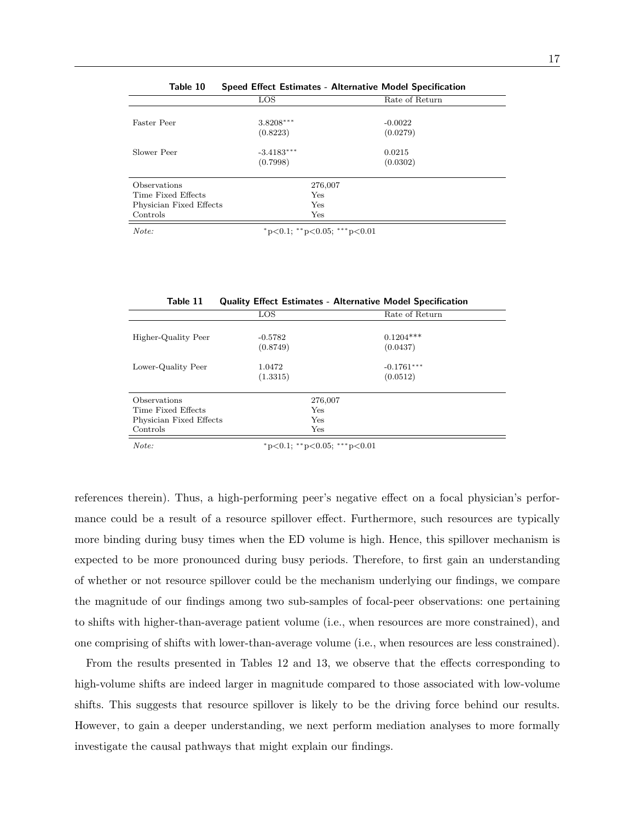| <b>LOS</b>                  | Rate of Return           |
|-----------------------------|--------------------------|
|                             |                          |
| $3.8208***$                 | $-0.0022$                |
| (0.8223)                    | (0.0279)                 |
|                             |                          |
|                             | 0.0215                   |
|                             | (0.0302)                 |
| 276,007                     |                          |
| Yes                         |                          |
| Yes                         |                          |
| Yes                         |                          |
| *p<0.1; **p<0.05; ***p<0.01 |                          |
|                             | $-3.4183***$<br>(0.7998) |

| Table 10 |  |  |  |  | Speed Effect Estimates - Alternative Model Specification |
|----------|--|--|--|--|----------------------------------------------------------|
|----------|--|--|--|--|----------------------------------------------------------|

| Table 11                |              | <b>Quality Effect Estimates - Alternative Model Specification</b> |
|-------------------------|--------------|-------------------------------------------------------------------|
|                         | LOS          | Rate of Return                                                    |
| Higher-Quality Peer     | $-0.5782$    | $0.1204***$                                                       |
|                         | (0.8749)     | (0.0437)                                                          |
| Lower-Quality Peer      | 1.0472       | $-0.1761***$                                                      |
|                         | (1.3315)     | (0.0512)                                                          |
| Observations            | 276,007      |                                                                   |
| Time Fixed Effects      | Yes          |                                                                   |
| Physician Fixed Effects | Yes          |                                                                   |
| Controls                | $_{\rm Yes}$ |                                                                   |

Note: \* p<0.1; \* \* p<0.05; \* \* \* p<0.01

references therein). Thus, a high-performing peer's negative effect on a focal physician's performance could be a result of a resource spillover effect. Furthermore, such resources are typically more binding during busy times when the ED volume is high. Hence, this spillover mechanism is expected to be more pronounced during busy periods. Therefore, to first gain an understanding of whether or not resource spillover could be the mechanism underlying our findings, we compare the magnitude of our findings among two sub-samples of focal-peer observations: one pertaining to shifts with higher-than-average patient volume (i.e., when resources are more constrained), and one comprising of shifts with lower-than-average volume (i.e., when resources are less constrained).

From the results presented in Tables 12 and 13, we observe that the effects corresponding to high-volume shifts are indeed larger in magnitude compared to those associated with low-volume shifts. This suggests that resource spillover is likely to be the driving force behind our results. However, to gain a deeper understanding, we next perform mediation analyses to more formally investigate the causal pathways that might explain our findings.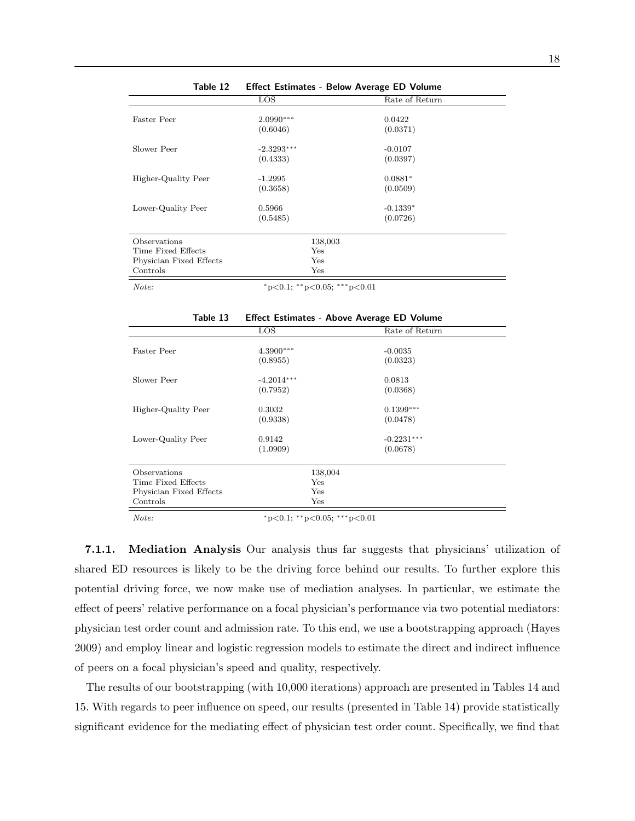|                         |                             | $\frac{1}{2}$  |
|-------------------------|-----------------------------|----------------|
|                         | LOS                         | Rate of Return |
| <b>Faster Peer</b>      | $2.0990***$                 | 0.0422         |
|                         | (0.6046)                    | (0.0371)       |
| Slower Peer             | $-2.3293***$                | $-0.0107$      |
|                         | (0.4333)                    | (0.0397)       |
| Higher-Quality Peer     | $-1.2995$                   | $0.0881*$      |
|                         | (0.3658)                    | (0.0509)       |
| Lower-Quality Peer      | 0.5966                      | $-0.1339*$     |
|                         | (0.5485)                    | (0.0726)       |
| Observations            | 138,003                     |                |
| Time Fixed Effects      | Yes                         |                |
| Physician Fixed Effects | Yes                         |                |
| Controls                | Yes                         |                |
| Note:                   | *p<0.1; **p<0.05; ***p<0.01 |                |

| Table 12 |  | <b>Effect Estimates - Below Average ED Volume</b> |  |  |  |  |
|----------|--|---------------------------------------------------|--|--|--|--|
|----------|--|---------------------------------------------------|--|--|--|--|

| Table 13 | <b>Effect Estimates - Above Average ED Volume</b> |
|----------|---------------------------------------------------|
|          |                                                   |

|                         | LOS          | Rate of Return |
|-------------------------|--------------|----------------|
|                         |              |                |
| <b>Faster Peer</b>      | $4.3900***$  | $-0.0035$      |
|                         | (0.8955)     | (0.0323)       |
| Slower Peer             | $-4.2014***$ | 0.0813         |
|                         | (0.7952)     | (0.0368)       |
| Higher-Quality Peer     | 0.3032       | $0.1399***$    |
|                         | (0.9338)     | (0.0478)       |
| Lower-Quality Peer      | 0.9142       | $-0.2231***$   |
|                         | (1.0909)     | (0.0678)       |
|                         |              |                |
| <b>Observations</b>     | 138,004      |                |
| Time Fixed Effects      | Yes          |                |
| Physician Fixed Effects | Yes          |                |
| Controls                | Yes          |                |

Note: <sup>∗</sup>p<0.1; ∗∗p<0.05; ∗∗∗p<0.01

7.1.1. Mediation Analysis Our analysis thus far suggests that physicians' utilization of shared ED resources is likely to be the driving force behind our results. To further explore this potential driving force, we now make use of mediation analyses. In particular, we estimate the effect of peers' relative performance on a focal physician's performance via two potential mediators: physician test order count and admission rate. To this end, we use a bootstrapping approach (Hayes 2009) and employ linear and logistic regression models to estimate the direct and indirect influence of peers on a focal physician's speed and quality, respectively.

The results of our bootstrapping (with 10,000 iterations) approach are presented in Tables 14 and 15. With regards to peer influence on speed, our results (presented in Table 14) provide statistically significant evidence for the mediating effect of physician test order count. Specifically, we find that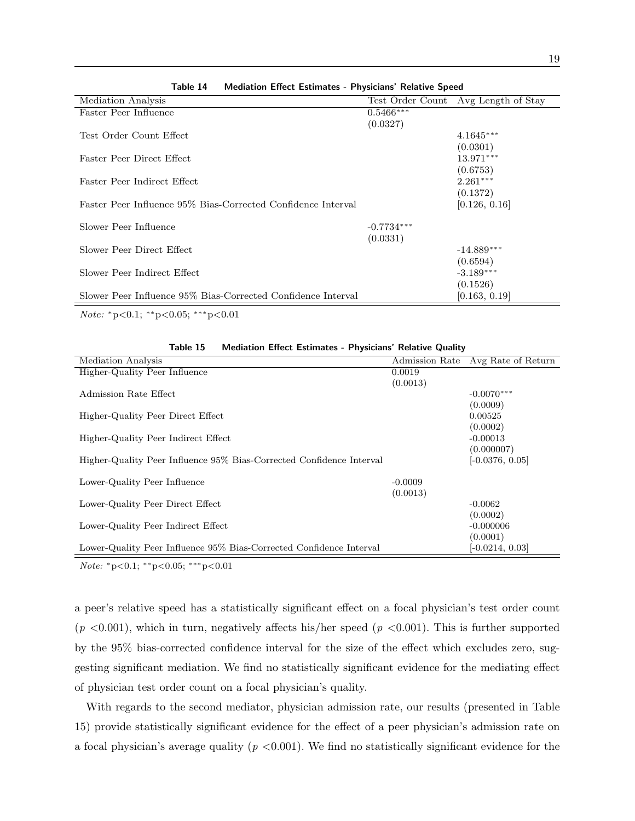| Mediation Analysis                                           |              | Test Order Count Avg Length of Stay |
|--------------------------------------------------------------|--------------|-------------------------------------|
| Faster Peer Influence                                        | $0.5466***$  |                                     |
|                                                              | (0.0327)     |                                     |
| Test Order Count Effect                                      |              | $4.1645***$                         |
|                                                              |              | (0.0301)                            |
| Faster Peer Direct Effect                                    |              | 13.971***                           |
|                                                              |              |                                     |
|                                                              |              | (0.6753)                            |
| Faster Peer Indirect Effect                                  |              | $2.261***$                          |
|                                                              |              | (0.1372)                            |
| Faster Peer Influence 95% Bias-Corrected Confidence Interval |              | [0.126, 0.16]                       |
|                                                              |              |                                     |
| Slower Peer Influence                                        | $-0.7734***$ |                                     |
|                                                              | (0.0331)     |                                     |
| Slower Peer Direct Effect                                    |              | $-14.889***$                        |
|                                                              |              |                                     |
|                                                              |              | (0.6594)                            |
| Slower Peer Indirect Effect                                  |              | $-3.189***$                         |
|                                                              |              | (0.1526)                            |
| Slower Peer Influence 95% Bias-Corrected Confidence Interval |              | [0.163, 0.19]                       |
|                                                              |              |                                     |

Table 14 Mediation Effect Estimates - Physicians' Relative Speed

Note: <sup>∗</sup>p<0.1; ∗∗p<0.05; ∗∗∗p<0.01

| таріе тэ<br><b>Negliation Ellect Estimates - Privillaris Relative Quality</b> |                |                    |  |  |  |
|-------------------------------------------------------------------------------|----------------|--------------------|--|--|--|
| Mediation Analysis                                                            | Admission Rate | Avg Rate of Return |  |  |  |
| Higher-Quality Peer Influence                                                 | 0.0019         |                    |  |  |  |
|                                                                               | (0.0013)       |                    |  |  |  |
| Admission Rate Effect                                                         |                | $-0.0070***$       |  |  |  |
|                                                                               |                | (0.0009)           |  |  |  |
| Higher-Quality Peer Direct Effect                                             |                | 0.00525            |  |  |  |
|                                                                               |                | (0.0002)           |  |  |  |
| Higher-Quality Peer Indirect Effect                                           |                | $-0.00013$         |  |  |  |
|                                                                               |                | (0.000007)         |  |  |  |
| Higher-Quality Peer Influence 95% Bias-Corrected Confidence Interval          |                | $[-0.0376, 0.05]$  |  |  |  |
|                                                                               |                |                    |  |  |  |
| Lower-Quality Peer Influence                                                  | $-0.0009$      |                    |  |  |  |
|                                                                               | (0.0013)       |                    |  |  |  |
| Lower-Quality Peer Direct Effect                                              |                | $-0.0062$          |  |  |  |
|                                                                               |                | (0.0002)           |  |  |  |
| Lower-Quality Peer Indirect Effect                                            |                | $-0.000006$        |  |  |  |
|                                                                               |                | (0.0001)           |  |  |  |
| Lower-Quality Peer Influence 95% Bias-Corrected Confidence Interval           |                | $[-0.0214, 0.03]$  |  |  |  |

| Table 15 |  | Mediation Effect Estimates - Physicians' Relative Quality |  |  |
|----------|--|-----------------------------------------------------------|--|--|
|          |  |                                                           |  |  |

Note: <sup>∗</sup>p<0.1; ∗∗p<0.05; ∗∗∗p<0.01

a peer's relative speed has a statistically significant effect on a focal physician's test order count  $(p \lt 0.001)$ , which in turn, negatively affects his/her speed  $(p \lt 0.001)$ . This is further supported by the 95% bias-corrected confidence interval for the size of the effect which excludes zero, suggesting significant mediation. We find no statistically significant evidence for the mediating effect of physician test order count on a focal physician's quality.

With regards to the second mediator, physician admission rate, our results (presented in Table 15) provide statistically significant evidence for the effect of a peer physician's admission rate on a focal physician's average quality  $(p \lt 0.001)$ . We find no statistically significant evidence for the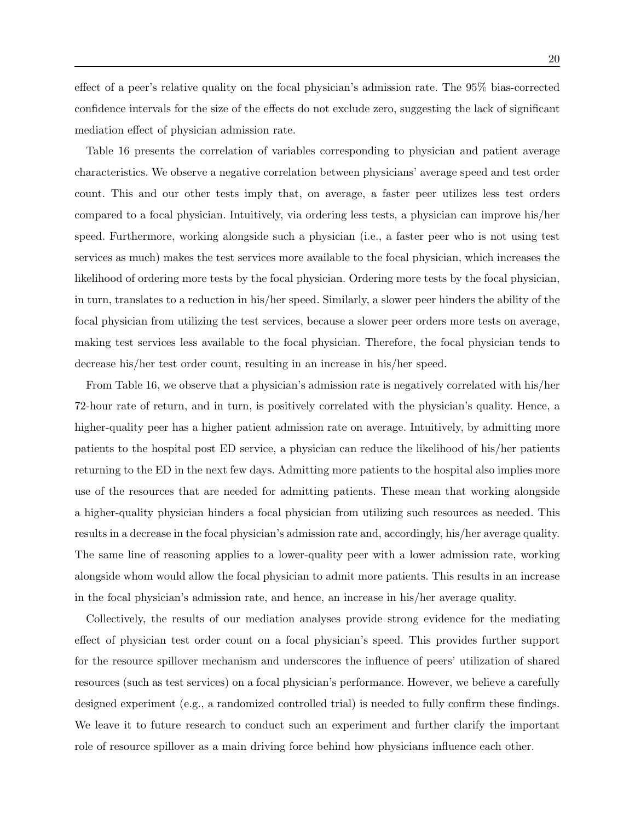effect of a peer's relative quality on the focal physician's admission rate. The 95% bias-corrected confidence intervals for the size of the effects do not exclude zero, suggesting the lack of significant mediation effect of physician admission rate.

Table 16 presents the correlation of variables corresponding to physician and patient average characteristics. We observe a negative correlation between physicians' average speed and test order count. This and our other tests imply that, on average, a faster peer utilizes less test orders compared to a focal physician. Intuitively, via ordering less tests, a physician can improve his/her speed. Furthermore, working alongside such a physician (i.e., a faster peer who is not using test services as much) makes the test services more available to the focal physician, which increases the likelihood of ordering more tests by the focal physician. Ordering more tests by the focal physician, in turn, translates to a reduction in his/her speed. Similarly, a slower peer hinders the ability of the focal physician from utilizing the test services, because a slower peer orders more tests on average, making test services less available to the focal physician. Therefore, the focal physician tends to decrease his/her test order count, resulting in an increase in his/her speed.

From Table 16, we observe that a physician's admission rate is negatively correlated with his/her 72-hour rate of return, and in turn, is positively correlated with the physician's quality. Hence, a higher-quality peer has a higher patient admission rate on average. Intuitively, by admitting more patients to the hospital post ED service, a physician can reduce the likelihood of his/her patients returning to the ED in the next few days. Admitting more patients to the hospital also implies more use of the resources that are needed for admitting patients. These mean that working alongside a higher-quality physician hinders a focal physician from utilizing such resources as needed. This results in a decrease in the focal physician's admission rate and, accordingly, his/her average quality. The same line of reasoning applies to a lower-quality peer with a lower admission rate, working alongside whom would allow the focal physician to admit more patients. This results in an increase in the focal physician's admission rate, and hence, an increase in his/her average quality.

Collectively, the results of our mediation analyses provide strong evidence for the mediating effect of physician test order count on a focal physician's speed. This provides further support for the resource spillover mechanism and underscores the influence of peers' utilization of shared resources (such as test services) on a focal physician's performance. However, we believe a carefully designed experiment (e.g., a randomized controlled trial) is needed to fully confirm these findings. We leave it to future research to conduct such an experiment and further clarify the important role of resource spillover as a main driving force behind how physicians influence each other.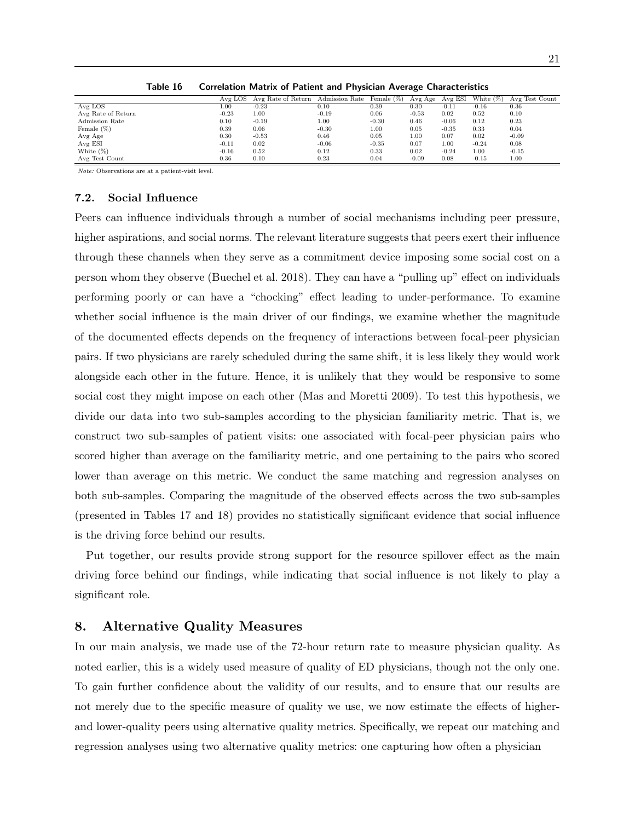|                    | Avg LOS  | Avg Rate of Return | Admission Rate | Female $(\%)$ | Avg Age | Avg ESI | White $(\%)$ | Avg Test Count |
|--------------------|----------|--------------------|----------------|---------------|---------|---------|--------------|----------------|
| Avg LOS            | $1.00\,$ | $-0.23$            | 0.10           | 0.39          | 0.30    | $-0.11$ | $-0.16$      | 0.36           |
| Avg Rate of Return | $-0.23$  | 00.1               | $-0.19$        | 0.06          | $-0.53$ | 0.02    | 0.52         | 0.10           |
| Admission Rate     | 0.10     | $-0.19$            | 1.00           | $-0.30$       | 0.46    | $-0.06$ | 0.12         | 0.23           |
| Female $(\%)$      | 0.39     | 0.06               | $-0.30$        | $1.00\,$      | 0.05    | $-0.35$ | 0.33         | 0.04           |
| Avg Age            | 0.30     | $-0.53$            | 0.46           | 0.05          | 1.00    | 0.07    | 0.02         | $-0.09$        |
| Avg ESI            | $-0.11$  | 0.02               | $-0.06$        | $-0.35$       | 0.07    | 1.00    | $-0.24$      | 0.08           |
| White $(\%)$       | $-0.16$  | 0.52               | 0.12           | 0.33          | 0.02    | $-0.24$ | 1.00         | $-0.15$        |
| Avg Test Count     | 0.36     | 0.10               | 0.23           | 0.04          | $-0.09$ | 0.08    | $-0.15$      | 1.00           |

Table 16 Correlation Matrix of Patient and Physician Average Characteristics

Note: Observations are at a patient-visit level.

#### 7.2. Social Influence

Peers can influence individuals through a number of social mechanisms including peer pressure, higher aspirations, and social norms. The relevant literature suggests that peers exert their influence through these channels when they serve as a commitment device imposing some social cost on a person whom they observe (Buechel et al. 2018). They can have a "pulling up" effect on individuals performing poorly or can have a "chocking" effect leading to under-performance. To examine whether social influence is the main driver of our findings, we examine whether the magnitude of the documented effects depends on the frequency of interactions between focal-peer physician pairs. If two physicians are rarely scheduled during the same shift, it is less likely they would work alongside each other in the future. Hence, it is unlikely that they would be responsive to some social cost they might impose on each other (Mas and Moretti 2009). To test this hypothesis, we divide our data into two sub-samples according to the physician familiarity metric. That is, we construct two sub-samples of patient visits: one associated with focal-peer physician pairs who scored higher than average on the familiarity metric, and one pertaining to the pairs who scored lower than average on this metric. We conduct the same matching and regression analyses on both sub-samples. Comparing the magnitude of the observed effects across the two sub-samples (presented in Tables 17 and 18) provides no statistically significant evidence that social influence is the driving force behind our results.

Put together, our results provide strong support for the resource spillover effect as the main driving force behind our findings, while indicating that social influence is not likely to play a significant role.

# 8. Alternative Quality Measures

In our main analysis, we made use of the 72-hour return rate to measure physician quality. As noted earlier, this is a widely used measure of quality of ED physicians, though not the only one. To gain further confidence about the validity of our results, and to ensure that our results are not merely due to the specific measure of quality we use, we now estimate the effects of higherand lower-quality peers using alternative quality metrics. Specifically, we repeat our matching and regression analyses using two alternative quality metrics: one capturing how often a physician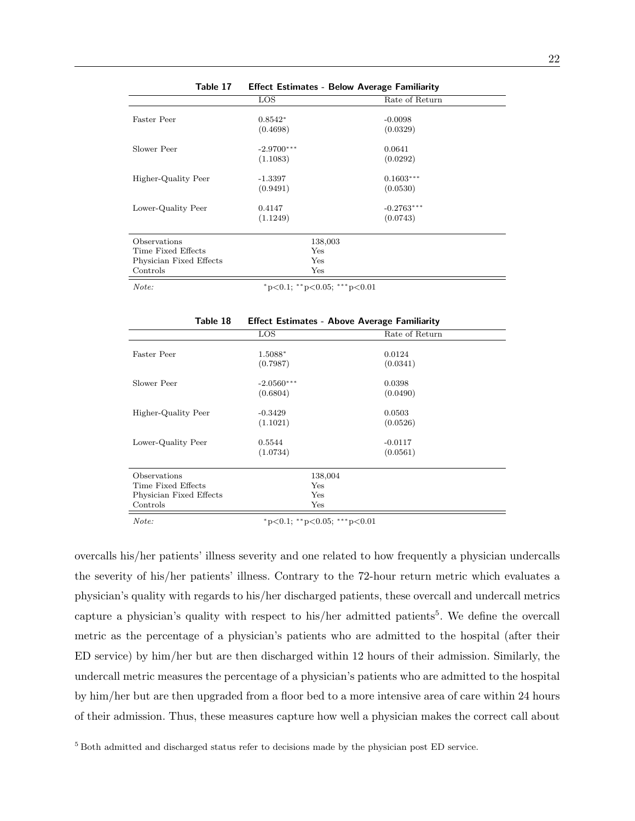| $1a$ <sub>UI</sub> $c$ $11$ |                    | Litect Latinutes - Delow Average Familianty |
|-----------------------------|--------------------|---------------------------------------------|
|                             | <b>LOS</b>         | Rate of Return                              |
| <b>Faster Peer</b>          | $0.8542*$          | $-0.0098$                                   |
|                             |                    |                                             |
|                             | (0.4698)           | (0.0329)                                    |
| Slower Peer                 | $-2.9700***$       | 0.0641                                      |
|                             | (1.1083)           | (0.0292)                                    |
|                             |                    |                                             |
| Higher-Quality Peer         | $-1.3397$          | $0.1603***$                                 |
|                             | (0.9491)           | (0.0530)                                    |
| Lower-Quality Peer          | 0.4147             | $-0.2763***$                                |
|                             | (1.1249)           | (0.0743)                                    |
|                             |                    |                                             |
| Observations                | 138,003            |                                             |
| Time Fixed Effects          | Yes                |                                             |
| Physician Fixed Effects     | Yes                |                                             |
| Controls                    | Yes                |                                             |
| $\cdots$                    | .<br>$\sim$ $\sim$ |                                             |

Table 17 Effect Estimates - Below Average Familiarity

| Physician Fixed Effects | Yes                         |                                                     |  |
|-------------------------|-----------------------------|-----------------------------------------------------|--|
| Controls                | Yes                         |                                                     |  |
| Note:                   | *p<0.1; **p<0.05; ***p<0.01 |                                                     |  |
| Table 18                |                             | <b>Effect Estimates - Above Average Familiarity</b> |  |
|                         | <b>LOS</b>                  | Rate of Return                                      |  |
| <b>Faster Peer</b>      | 1.5088*<br>(0.7987)         | 0.0124<br>(0.0341)                                  |  |
| Slower Peer             | $-2.0560***$<br>(0.6804)    | 0.0398<br>(0.0490)                                  |  |
| Higher-Quality Peer     | $-0.3429$                   | 0.0503                                              |  |

| <b>Faster Peer</b>                                                        | 1.5088*<br>(0.7987)      |                              | 0.0124<br>(0.0341)    |  |
|---------------------------------------------------------------------------|--------------------------|------------------------------|-----------------------|--|
| Slower Peer                                                               | $-2.0560***$<br>(0.6804) |                              | 0.0398<br>(0.0490)    |  |
| Higher-Quality Peer                                                       | $-0.3429$<br>(1.1021)    |                              | 0.0503<br>(0.0526)    |  |
| Lower-Quality Peer                                                        | 0.5544<br>(1.0734)       |                              | $-0.0117$<br>(0.0561) |  |
| Observations<br>Time Fixed Effects<br>Physician Fixed Effects<br>Controls |                          | 138,004<br>Yes<br>Yes<br>Yes |                       |  |
| $ -$                                                                      |                          |                              |                       |  |

Note: <sup>∗</sup>p<0.1; ∗∗p<0.05; ∗∗∗p<0.01

overcalls his/her patients' illness severity and one related to how frequently a physician undercalls the severity of his/her patients' illness. Contrary to the 72-hour return metric which evaluates a physician's quality with regards to his/her discharged patients, these overcall and undercall metrics capture a physician's quality with respect to his/her admitted patients<sup>5</sup>. We define the overcall metric as the percentage of a physician's patients who are admitted to the hospital (after their ED service) by him/her but are then discharged within 12 hours of their admission. Similarly, the undercall metric measures the percentage of a physician's patients who are admitted to the hospital by him/her but are then upgraded from a floor bed to a more intensive area of care within 24 hours of their admission. Thus, these measures capture how well a physician makes the correct call about

<sup>5</sup> Both admitted and discharged status refer to decisions made by the physician post ED service.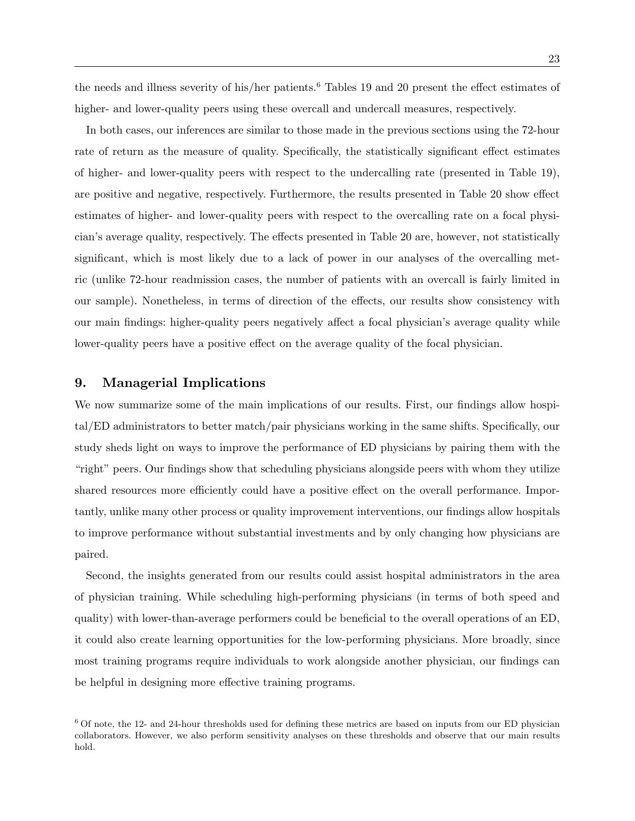the needs and illness severity of his/her patients.<sup>6</sup> Tables 19 and 20 present the effect estimates of higher- and lower-quality peers using these overcall and undercall measures, respectively.

In both cases, our inferences are similar to those made in the previous sections using the 72-hour rate of return as the measure of quality. Specifically, the statistically significant effect estimates of higher- and lower-quality peers with respect to the undercalling rate (presented in Table 19), are positive and negative, respectively. Furthermore, the results presented in Table 20 show effect estimates of higher- and lower-quality peers with respect to the overcalling rate on a focal physician's average quality, respectively. The effects presented in Table 20 are, however, not statistically significant, which is most likely due to a lack of power in our analyses of the overcalling metric (unlike 72-hour readmission cases, the number of patients with an overcall is fairly limited in our sample). Nonetheless, in terms of direction of the effects, our results show consistency with our main findings: higher-quality peers negatively affect a focal physician's average quality while lower-quality peers have a positive effect on the average quality of the focal physician.

## 9. Managerial Implications

We now summarize some of the main implications of our results. First, our findings allow hospital/ED administrators to better match/pair physicians working in the same shifts. Specifically, our study sheds light on ways to improve the performance of ED physicians by pairing them with the "right" peers. Our findings show that scheduling physicians alongside peers with whom they utilize shared resources more efficiently could have a positive effect on the overall performance. Importantly, unlike many other process or quality improvement interventions, our findings allow hospitals to improve performance without substantial investments and by only changing how physicians are paired.

Second, the insights generated from our results could assist hospital administrators in the area of physician training. While scheduling high-performing physicians (in terms of both speed and quality) with lower-than-average performers could be beneficial to the overall operations of an ED, it could also create learning opportunities for the low-performing physicians. More broadly, since most training programs require individuals to work alongside another physician, our findings can be helpful in designing more effective training programs.

<sup>6</sup> Of note, the 12- and 24-hour thresholds used for defining these metrics are based on inputs from our ED physician collaborators. However, we also perform sensitivity analyses on these thresholds and observe that our main results hold.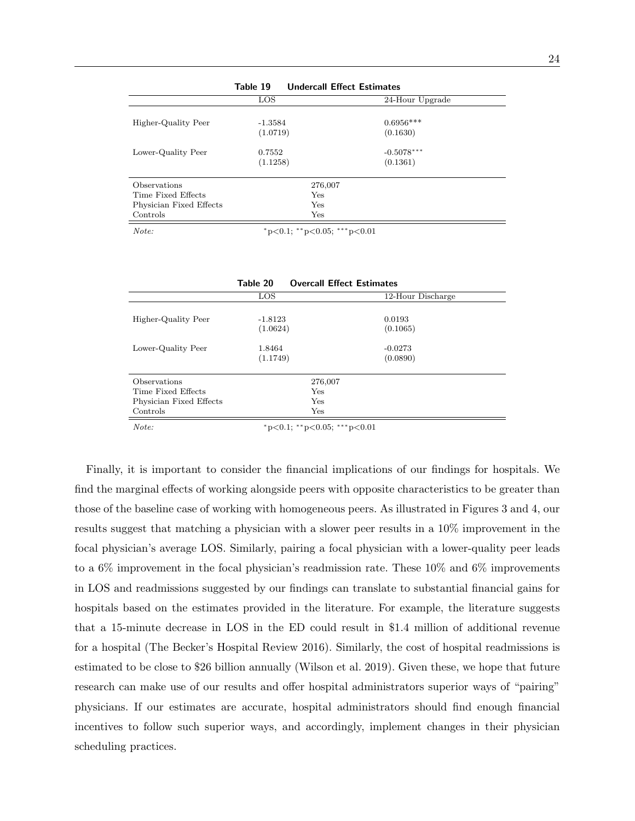| Table 19<br><b>Undercall Effect Estimates</b> |                             |                          |  |
|-----------------------------------------------|-----------------------------|--------------------------|--|
|                                               | <b>LOS</b>                  | 24-Hour Upgrade          |  |
| Higher-Quality Peer                           | $-1.3584$<br>(1.0719)       | $0.6956***$<br>(0.1630)  |  |
| Lower-Quality Peer                            | 0.7552<br>(1.1258)          | $-0.5078***$<br>(0.1361) |  |
| Observations                                  | 276,007                     |                          |  |
| Time Fixed Effects                            | Yes                         |                          |  |
| Physician Fixed Effects                       | Yes                         |                          |  |
| Controls                                      | Yes                         |                          |  |
| Note:                                         | *p<0.1; **p<0.05; ***p<0.01 |                          |  |

|                         | Table 20  | <b>Overcall Effect Estimates</b> |                   |  |
|-------------------------|-----------|----------------------------------|-------------------|--|
|                         | LOS       |                                  | 12-Hour Discharge |  |
|                         |           |                                  |                   |  |
| Higher-Quality Peer     | $-1.8123$ |                                  | 0.0193            |  |
|                         | (1.0624)  |                                  | (0.1065)          |  |
| Lower-Quality Peer      | 1.8464    |                                  | $-0.0273$         |  |
|                         | (1.1749)  |                                  | (0.0890)          |  |
| Observations            |           | 276,007                          |                   |  |
| Time Fixed Effects      |           | Yes                              |                   |  |
| Physician Fixed Effects |           | Yes                              |                   |  |
| Controls                |           | Yes                              |                   |  |
| Note:                   |           | *p<0.1; **p<0.05; ***p<0.01      |                   |  |

Finally, it is important to consider the financial implications of our findings for hospitals. We find the marginal effects of working alongside peers with opposite characteristics to be greater than those of the baseline case of working with homogeneous peers. As illustrated in Figures 3 and 4, our results suggest that matching a physician with a slower peer results in a 10% improvement in the focal physician's average LOS. Similarly, pairing a focal physician with a lower-quality peer leads to a 6% improvement in the focal physician's readmission rate. These 10% and 6% improvements in LOS and readmissions suggested by our findings can translate to substantial financial gains for hospitals based on the estimates provided in the literature. For example, the literature suggests that a 15-minute decrease in LOS in the ED could result in \$1.4 million of additional revenue for a hospital (The Becker's Hospital Review 2016). Similarly, the cost of hospital readmissions is estimated to be close to \$26 billion annually (Wilson et al. 2019). Given these, we hope that future research can make use of our results and offer hospital administrators superior ways of "pairing" physicians. If our estimates are accurate, hospital administrators should find enough financial incentives to follow such superior ways, and accordingly, implement changes in their physician scheduling practices.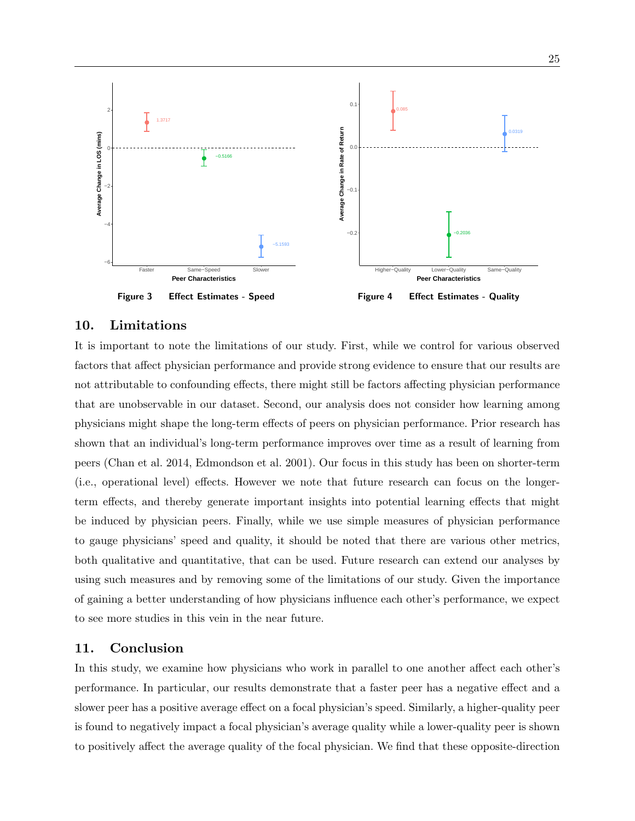

## 10. Limitations

It is important to note the limitations of our study. First, while we control for various observed factors that affect physician performance and provide strong evidence to ensure that our results are not attributable to confounding effects, there might still be factors affecting physician performance that are unobservable in our dataset. Second, our analysis does not consider how learning among physicians might shape the long-term effects of peers on physician performance. Prior research has shown that an individual's long-term performance improves over time as a result of learning from peers (Chan et al. 2014, Edmondson et al. 2001). Our focus in this study has been on shorter-term (i.e., operational level) effects. However we note that future research can focus on the longerterm effects, and thereby generate important insights into potential learning effects that might be induced by physician peers. Finally, while we use simple measures of physician performance to gauge physicians' speed and quality, it should be noted that there are various other metrics, both qualitative and quantitative, that can be used. Future research can extend our analyses by using such measures and by removing some of the limitations of our study. Given the importance of gaining a better understanding of how physicians influence each other's performance, we expect to see more studies in this vein in the near future.

#### 11. Conclusion

In this study, we examine how physicians who work in parallel to one another affect each other's performance. In particular, our results demonstrate that a faster peer has a negative effect and a slower peer has a positive average effect on a focal physician's speed. Similarly, a higher-quality peer is found to negatively impact a focal physician's average quality while a lower-quality peer is shown to positively affect the average quality of the focal physician. We find that these opposite-direction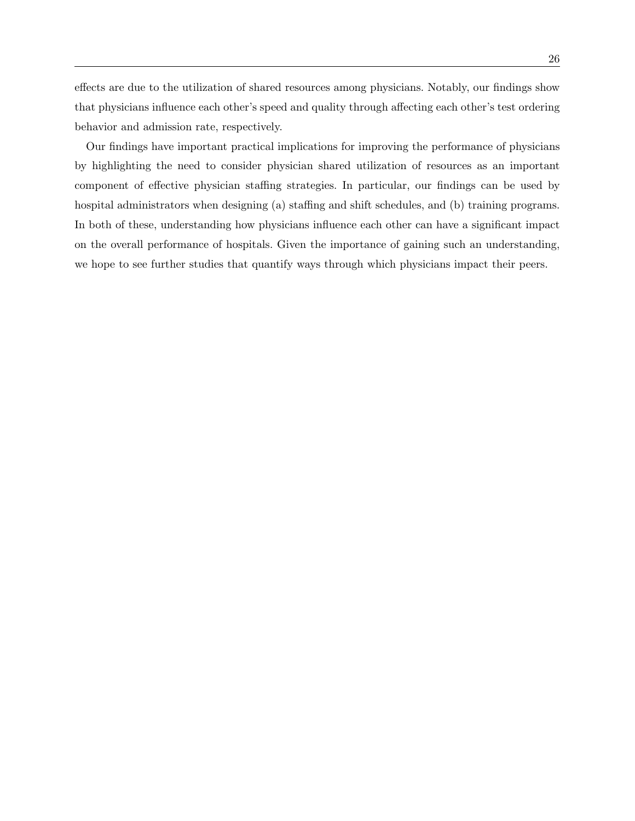effects are due to the utilization of shared resources among physicians. Notably, our findings show that physicians influence each other's speed and quality through affecting each other's test ordering behavior and admission rate, respectively.

Our findings have important practical implications for improving the performance of physicians by highlighting the need to consider physician shared utilization of resources as an important component of effective physician staffing strategies. In particular, our findings can be used by hospital administrators when designing (a) staffing and shift schedules, and (b) training programs. In both of these, understanding how physicians influence each other can have a significant impact on the overall performance of hospitals. Given the importance of gaining such an understanding, we hope to see further studies that quantify ways through which physicians impact their peers.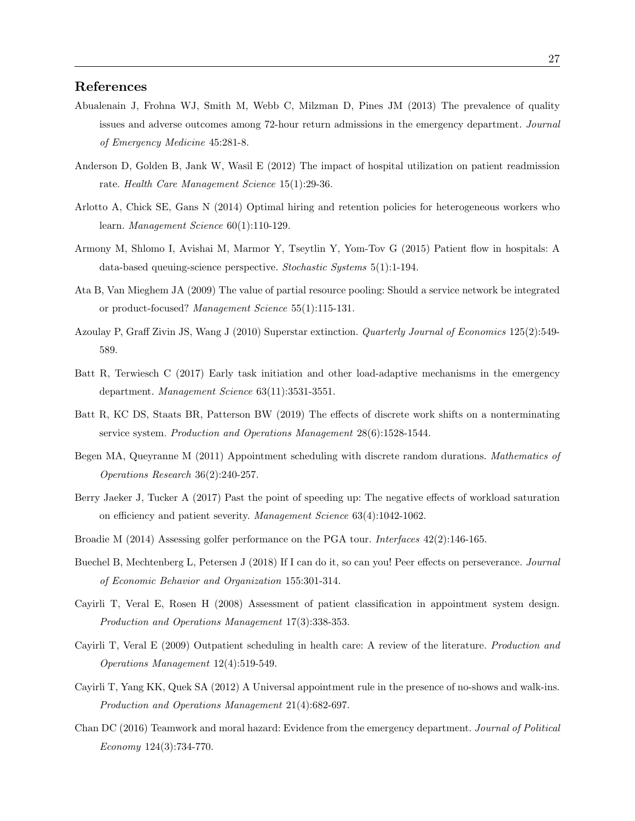# References

- Abualenain J, Frohna WJ, Smith M, Webb C, Milzman D, Pines JM (2013) The prevalence of quality issues and adverse outcomes among 72-hour return admissions in the emergency department. Journal of Emergency Medicine 45:281-8.
- Anderson D, Golden B, Jank W, Wasil E (2012) The impact of hospital utilization on patient readmission rate. Health Care Management Science 15(1):29-36.
- Arlotto A, Chick SE, Gans N (2014) Optimal hiring and retention policies for heterogeneous workers who learn. Management Science 60(1):110-129.
- Armony M, Shlomo I, Avishai M, Marmor Y, Tseytlin Y, Yom-Tov G (2015) Patient flow in hospitals: A data-based queuing-science perspective. Stochastic Systems 5(1):1-194.
- Ata B, Van Mieghem JA (2009) The value of partial resource pooling: Should a service network be integrated or product-focused? Management Science 55(1):115-131.
- Azoulay P, Graff Zivin JS, Wang J (2010) Superstar extinction. Quarterly Journal of Economics 125(2):549- 589.
- Batt R, Terwiesch C (2017) Early task initiation and other load-adaptive mechanisms in the emergency department. Management Science 63(11):3531-3551.
- Batt R, KC DS, Staats BR, Patterson BW (2019) The effects of discrete work shifts on a nonterminating service system. Production and Operations Management 28(6):1528-1544.
- Begen MA, Queyranne M (2011) Appointment scheduling with discrete random durations. Mathematics of Operations Research 36(2):240-257.
- Berry Jaeker J, Tucker A (2017) Past the point of speeding up: The negative effects of workload saturation on efficiency and patient severity. Management Science 63(4):1042-1062.
- Broadie M (2014) Assessing golfer performance on the PGA tour. Interfaces 42(2):146-165.
- Buechel B, Mechtenberg L, Petersen J (2018) If I can do it, so can you! Peer effects on perseverance. Journal of Economic Behavior and Organization 155:301-314.
- Cayirli T, Veral E, Rosen H (2008) Assessment of patient classification in appointment system design. Production and Operations Management 17(3):338-353.
- Cayirli T, Veral E (2009) Outpatient scheduling in health care: A review of the literature. Production and Operations Management 12(4):519-549.
- Cayirli T, Yang KK, Quek SA (2012) A Universal appointment rule in the presence of no-shows and walk-ins. Production and Operations Management 21(4):682-697.
- Chan DC (2016) Teamwork and moral hazard: Evidence from the emergency department. Journal of Political Economy 124(3):734-770.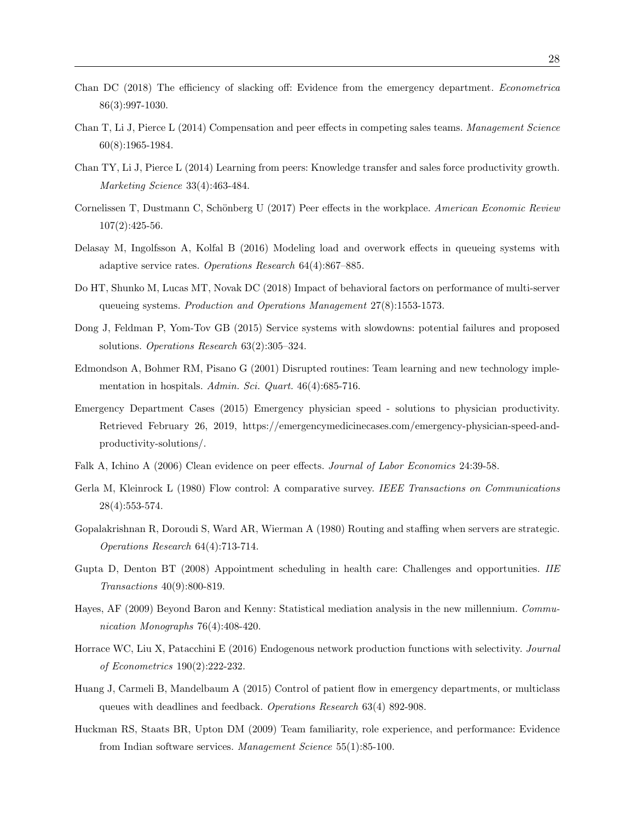- Chan DC (2018) The efficiency of slacking off: Evidence from the emergency department. Econometrica 86(3):997-1030.
- Chan T, Li J, Pierce L (2014) Compensation and peer effects in competing sales teams. Management Science 60(8):1965-1984.
- Chan TY, Li J, Pierce L (2014) Learning from peers: Knowledge transfer and sales force productivity growth. Marketing Science 33(4):463-484.
- Cornelissen T, Dustmann C, Schönberg U (2017) Peer effects in the workplace. American Economic Review 107(2):425-56.
- Delasay M, Ingolfsson A, Kolfal B (2016) Modeling load and overwork effects in queueing systems with adaptive service rates. Operations Research 64(4):867–885.
- Do HT, Shunko M, Lucas MT, Novak DC (2018) Impact of behavioral factors on performance of multi-server queueing systems. Production and Operations Management 27(8):1553-1573.
- Dong J, Feldman P, Yom-Tov GB (2015) Service systems with slowdowns: potential failures and proposed solutions. Operations Research 63(2):305-324.
- Edmondson A, Bohmer RM, Pisano G (2001) Disrupted routines: Team learning and new technology implementation in hospitals. Admin. Sci. Quart. 46(4):685-716.
- Emergency Department Cases (2015) Emergency physician speed solutions to physician productivity. Retrieved February 26, 2019, https://emergencymedicinecases.com/emergency-physician-speed-andproductivity-solutions/.
- Falk A, Ichino A (2006) Clean evidence on peer effects. Journal of Labor Economics 24:39-58.
- Gerla M, Kleinrock L (1980) Flow control: A comparative survey. IEEE Transactions on Communications 28(4):553-574.
- Gopalakrishnan R, Doroudi S, Ward AR, Wierman A (1980) Routing and staffing when servers are strategic. Operations Research 64(4):713-714.
- Gupta D, Denton BT (2008) Appointment scheduling in health care: Challenges and opportunities. IIE Transactions 40(9):800-819.
- Hayes, AF (2009) Beyond Baron and Kenny: Statistical mediation analysis in the new millennium. Communication Monographs 76(4):408-420.
- Horrace WC, Liu X, Patacchini E (2016) Endogenous network production functions with selectivity. Journal of Econometrics 190(2):222-232.
- Huang J, Carmeli B, Mandelbaum A (2015) Control of patient flow in emergency departments, or multiclass queues with deadlines and feedback. Operations Research 63(4) 892-908.
- Huckman RS, Staats BR, Upton DM (2009) Team familiarity, role experience, and performance: Evidence from Indian software services. Management Science 55(1):85-100.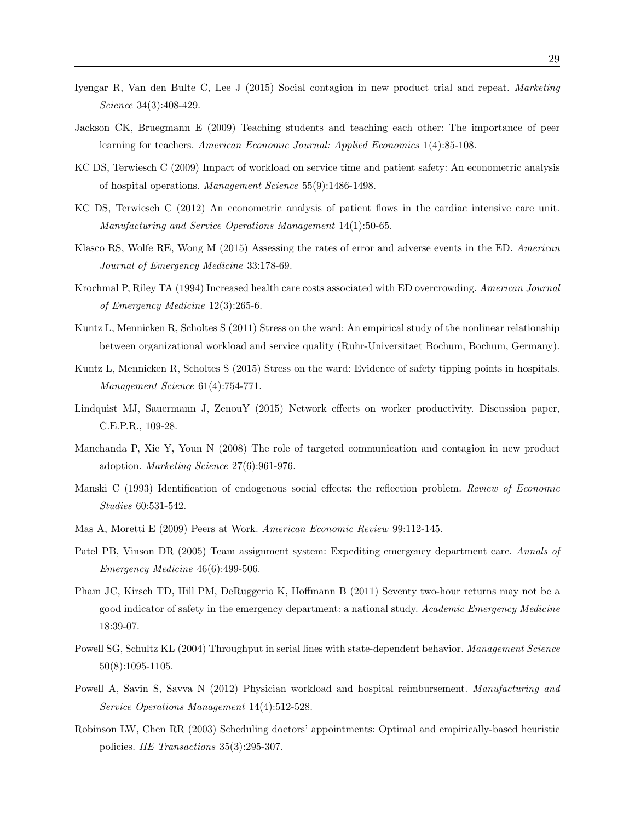- Iyengar R, Van den Bulte C, Lee J (2015) Social contagion in new product trial and repeat. Marketing Science 34(3):408-429.
- Jackson CK, Bruegmann E (2009) Teaching students and teaching each other: The importance of peer learning for teachers. American Economic Journal: Applied Economics 1(4):85-108.
- KC DS, Terwiesch C (2009) Impact of workload on service time and patient safety: An econometric analysis of hospital operations. Management Science 55(9):1486-1498.
- KC DS, Terwiesch C (2012) An econometric analysis of patient flows in the cardiac intensive care unit. Manufacturing and Service Operations Management 14(1):50-65.
- Klasco RS, Wolfe RE, Wong M (2015) Assessing the rates of error and adverse events in the ED. American Journal of Emergency Medicine 33:178-69.
- Krochmal P, Riley TA (1994) Increased health care costs associated with ED overcrowding. American Journal of Emergency Medicine 12(3):265-6.
- Kuntz L, Mennicken R, Scholtes S (2011) Stress on the ward: An empirical study of the nonlinear relationship between organizational workload and service quality (Ruhr-Universitaet Bochum, Bochum, Germany).
- Kuntz L, Mennicken R, Scholtes S (2015) Stress on the ward: Evidence of safety tipping points in hospitals. Management Science 61(4):754-771.
- Lindquist MJ, Sauermann J, ZenouY (2015) Network effects on worker productivity. Discussion paper, C.E.P.R., 109-28.
- Manchanda P, Xie Y, Youn N (2008) The role of targeted communication and contagion in new product adoption. Marketing Science 27(6):961-976.
- Manski C (1993) Identification of endogenous social effects: the reflection problem. Review of Economic Studies 60:531-542.
- Mas A, Moretti E (2009) Peers at Work. American Economic Review 99:112-145.
- Patel PB, Vinson DR (2005) Team assignment system: Expediting emergency department care. Annals of Emergency Medicine 46(6):499-506.
- Pham JC, Kirsch TD, Hill PM, DeRuggerio K, Hoffmann B (2011) Seventy two-hour returns may not be a good indicator of safety in the emergency department: a national study. Academic Emergency Medicine 18:39-07.
- Powell SG, Schultz KL (2004) Throughput in serial lines with state-dependent behavior. Management Science 50(8):1095-1105.
- Powell A, Savin S, Savva N (2012) Physician workload and hospital reimbursement. Manufacturing and Service Operations Management 14(4):512-528.
- Robinson LW, Chen RR (2003) Scheduling doctors' appointments: Optimal and empirically-based heuristic policies. IIE Transactions 35(3):295-307.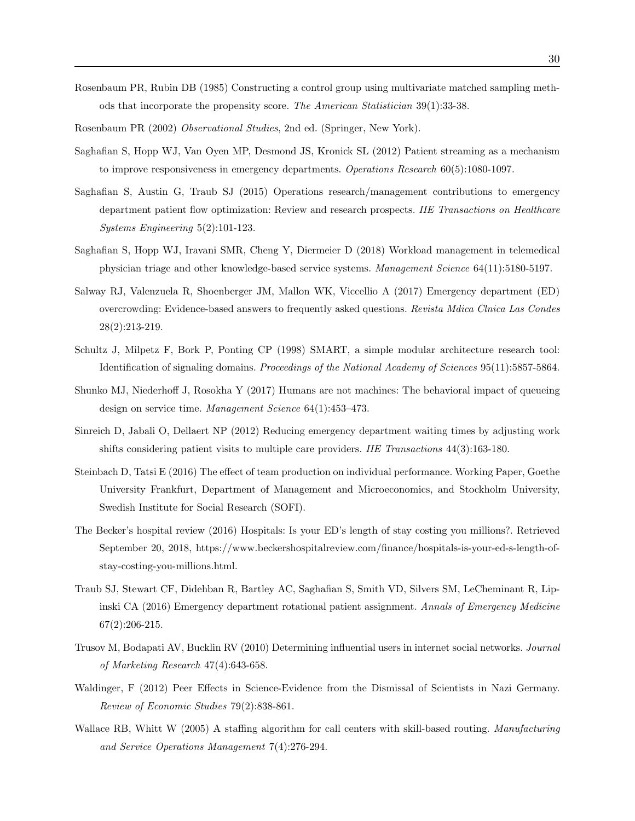- Rosenbaum PR, Rubin DB (1985) Constructing a control group using multivariate matched sampling methods that incorporate the propensity score. The American Statistician 39(1):33-38.
- Rosenbaum PR (2002) Observational Studies, 2nd ed. (Springer, New York).
- Saghafian S, Hopp WJ, Van Oyen MP, Desmond JS, Kronick SL (2012) Patient streaming as a mechanism to improve responsiveness in emergency departments. Operations Research  $60(5)$ :1080-1097.
- Saghafian S, Austin G, Traub SJ (2015) Operations research/management contributions to emergency department patient flow optimization: Review and research prospects. IIE Transactions on Healthcare Systems Engineering 5(2):101-123.
- Saghafian S, Hopp WJ, Iravani SMR, Cheng Y, Diermeier D (2018) Workload management in telemedical physician triage and other knowledge-based service systems. Management Science 64(11):5180-5197.
- Salway RJ, Valenzuela R, Shoenberger JM, Mallon WK, Viccellio A (2017) Emergency department (ED) overcrowding: Evidence-based answers to frequently asked questions. Revista Mdica Clnica Las Condes 28(2):213-219.
- Schultz J, Milpetz F, Bork P, Ponting CP (1998) SMART, a simple modular architecture research tool: Identification of signaling domains. Proceedings of the National Academy of Sciences 95(11):5857-5864.
- Shunko MJ, Niederhoff J, Rosokha Y (2017) Humans are not machines: The behavioral impact of queueing design on service time. Management Science 64(1):453-473.
- Sinreich D, Jabali O, Dellaert NP (2012) Reducing emergency department waiting times by adjusting work shifts considering patient visits to multiple care providers. IIE Transactions 44(3):163-180.
- Steinbach D, Tatsi E (2016) The effect of team production on individual performance. Working Paper, Goethe University Frankfurt, Department of Management and Microeconomics, and Stockholm University, Swedish Institute for Social Research (SOFI).
- The Becker's hospital review (2016) Hospitals: Is your ED's length of stay costing you millions?. Retrieved September 20, 2018, https://www.beckershospitalreview.com/finance/hospitals-is-your-ed-s-length-ofstay-costing-you-millions.html.
- Traub SJ, Stewart CF, Didehban R, Bartley AC, Saghafian S, Smith VD, Silvers SM, LeCheminant R, Lipinski CA (2016) Emergency department rotational patient assignment. Annals of Emergency Medicine  $67(2):206-215.$
- Trusov M, Bodapati AV, Bucklin RV (2010) Determining influential users in internet social networks. Journal of Marketing Research 47(4):643-658.
- Waldinger, F (2012) Peer Effects in Science-Evidence from the Dismissal of Scientists in Nazi Germany. Review of Economic Studies 79(2):838-861.
- Wallace RB, Whitt W (2005) A staffing algorithm for call centers with skill-based routing. Manufacturing and Service Operations Management 7(4):276-294.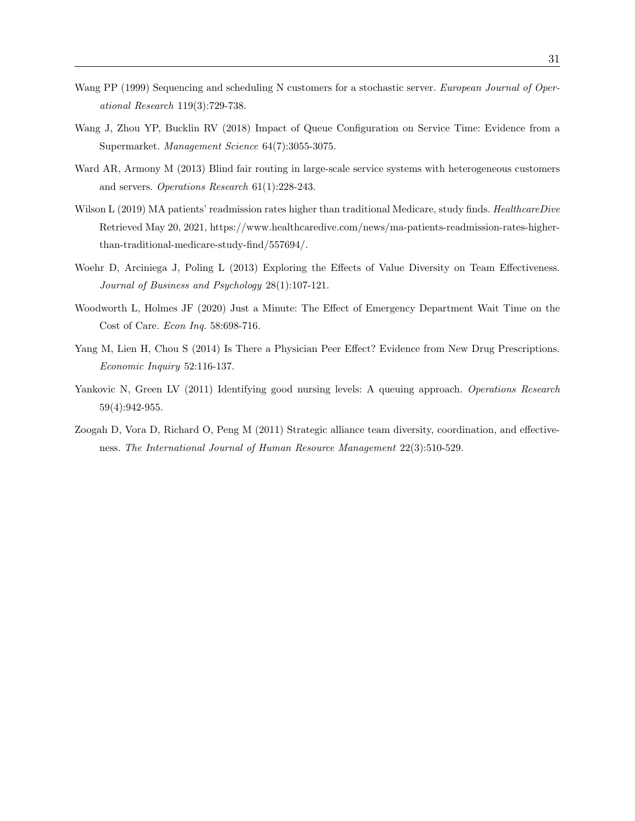- Wang PP (1999) Sequencing and scheduling N customers for a stochastic server. European Journal of Operational Research 119(3):729-738.
- Wang J, Zhou YP, Bucklin RV (2018) Impact of Queue Configuration on Service Time: Evidence from a Supermarket. Management Science 64(7):3055-3075.
- Ward AR, Armony M (2013) Blind fair routing in large-scale service systems with heterogeneous customers and servers. Operations Research 61(1):228-243.
- Wilson L (2019) MA patients' readmission rates higher than traditional Medicare, study finds. HealthcareDive Retrieved May 20, 2021, https://www.healthcaredive.com/news/ma-patients-readmission-rates-higherthan-traditional-medicare-study-find/557694/.
- Woehr D, Arciniega J, Poling L (2013) Exploring the Effects of Value Diversity on Team Effectiveness. Journal of Business and Psychology 28(1):107-121.
- Woodworth L, Holmes JF (2020) Just a Minute: The Effect of Emergency Department Wait Time on the Cost of Care. Econ Inq. 58:698-716.
- Yang M, Lien H, Chou S (2014) Is There a Physician Peer Effect? Evidence from New Drug Prescriptions. Economic Inquiry 52:116-137.
- Yankovic N, Green LV (2011) Identifying good nursing levels: A queuing approach. Operations Research 59(4):942-955.
- Zoogah D, Vora D, Richard O, Peng M (2011) Strategic alliance team diversity, coordination, and effectiveness. The International Journal of Human Resource Management 22(3):510-529.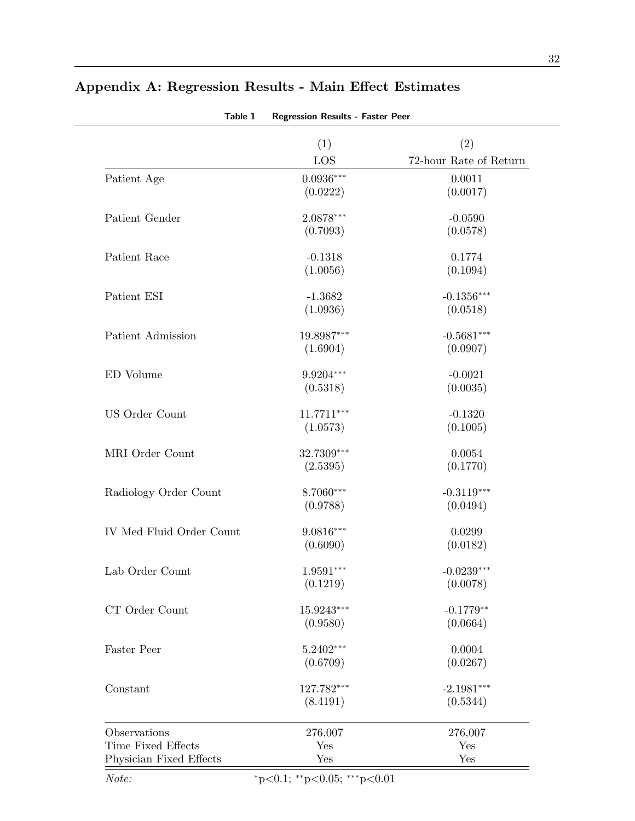| Table 1                  | <b>Regression Results - Faster Peer</b> |                        |
|--------------------------|-----------------------------------------|------------------------|
|                          | (1)                                     | (2)                    |
|                          | LOS                                     | 72-hour Rate of Return |
| Patient Age              | $0.0936***$                             | 0.0011                 |
|                          | (0.0222)                                | (0.0017)               |
| Patient Gender           | $2.0878***$                             | $-0.0590$              |
|                          | (0.7093)                                | (0.0578)               |
| Patient Race             | $-0.1318$                               | 0.1774                 |
|                          | (1.0056)                                | (0.1094)               |
| Patient ESI              | $-1.3682$                               | $-0.1356***$           |
|                          | (1.0936)                                | (0.0518)               |
| Patient Admission        | 19.8987***                              | $-0.5681***$           |
|                          | (1.6904)                                | (0.0907)               |
| ED Volume                | $9.9204***$                             | $-0.0021$              |
|                          | (0.5318)                                | (0.0035)               |
| US Order Count           | 11.7711***                              | $-0.1320$              |
|                          | (1.0573)                                | (0.1005)               |
| MRI Order Count          | 32.7309***                              | 0.0054                 |
|                          | (2.5395)                                | (0.1770)               |
| Radiology Order Count    | 8.7060***                               | $-0.3119***$           |
|                          | (0.9788)                                | (0.0494)               |
| IV Med Fluid Order Count | $9.0816***$                             | 0.0299                 |
|                          | (0.6090)                                | (0.0182)               |
| Lab Order Count          | $1.9591***$                             | $-0.0239***$           |
|                          | (0.1219)                                | (0.0078)               |
| CT Order Count           | 15.9243***                              | $-0.1779**$            |
|                          | (0.9580)                                | (0.0664)               |
| Faster Peer              | $5.2402***$                             | 0.0004                 |
|                          | (0.6709)                                | (0.0267)               |
| Constant                 | 127.782***                              | $-2.1981***$           |
|                          | (8.4191)                                | (0.5344)               |
| Observations             | 276,007                                 | 276,007                |
| Time Fixed Effects       | Yes                                     | Yes                    |
| Physician Fixed Effects  | Yes                                     | Yes                    |

# Appendix A: Regression Results - Main Effect Estimates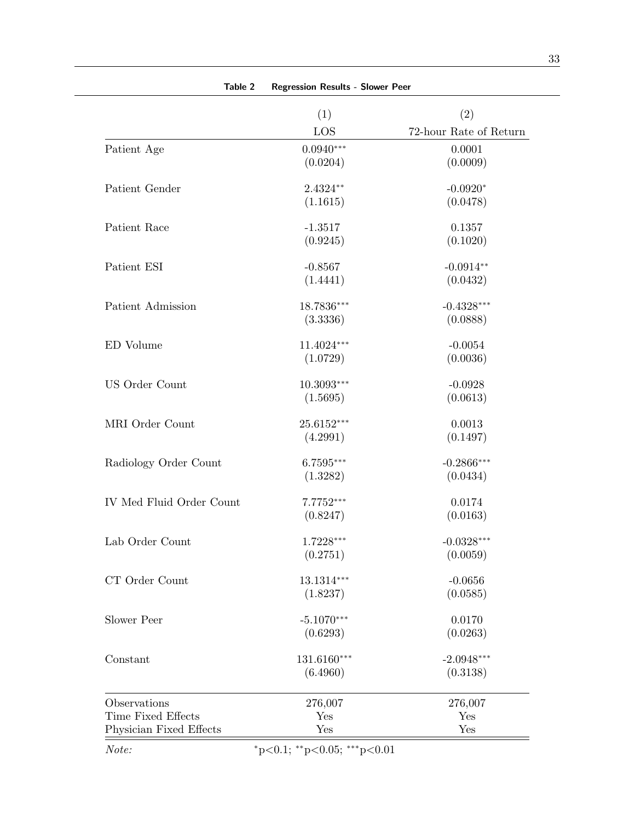| Table 2                  | <b>Regression Results - Slower Peer</b> |                        |
|--------------------------|-----------------------------------------|------------------------|
|                          | (1)                                     | (2)                    |
|                          | LOS                                     | 72-hour Rate of Return |
| Patient Age              | $0.0940***$                             | 0.0001                 |
|                          | (0.0204)                                | (0.0009)               |
| Patient Gender           | 2.4324**                                | $-0.0920*$             |
|                          | (1.1615)                                | (0.0478)               |
| Patient Race             | $-1.3517$                               | 0.1357                 |
|                          | (0.9245)                                | (0.1020)               |
| Patient ESI              | $-0.8567$                               | $-0.0914**$            |
|                          | (1.4441)                                | (0.0432)               |
| Patient Admission        | 18.7836***                              | $-0.4328***$           |
|                          | (3.3336)                                | (0.0888)               |
| ED Volume                | 11.4024***                              | $-0.0054$              |
|                          | (1.0729)                                | (0.0036)               |
| US Order Count           | $10.3093***$                            | $-0.0928$              |
|                          | (1.5695)                                | (0.0613)               |
| MRI Order Count          | $25.6152***$                            | 0.0013                 |
|                          | (4.2991)                                | (0.1497)               |
| Radiology Order Count    | $6.7595***$                             | $-0.2866***$           |
|                          | (1.3282)                                | (0.0434)               |
| IV Med Fluid Order Count | $7.7752***$                             | 0.0174                 |
|                          | (0.8247)                                | (0.0163)               |
| Lab Order Count          | $1.7228***$                             | $-0.0328***$           |
|                          | (0.2751)                                | (0.0059)               |
| CT Order Count           | $13.1314***$                            | $-0.0656$              |
|                          | (1.8237)                                | (0.0585)               |
| Slower Peer              | $-5.1070***$                            | 0.0170                 |
|                          | (0.6293)                                | (0.0263)               |
| Constant                 | 131.6160***                             | $-2.0948***$           |
|                          | (6.4960)                                | (0.3138)               |
| Observations             | 276,007                                 | 276,007                |
| Time Fixed Effects       | Yes                                     | Yes                    |
| Physician Fixed Effects  | Yes                                     | Yes                    |

÷,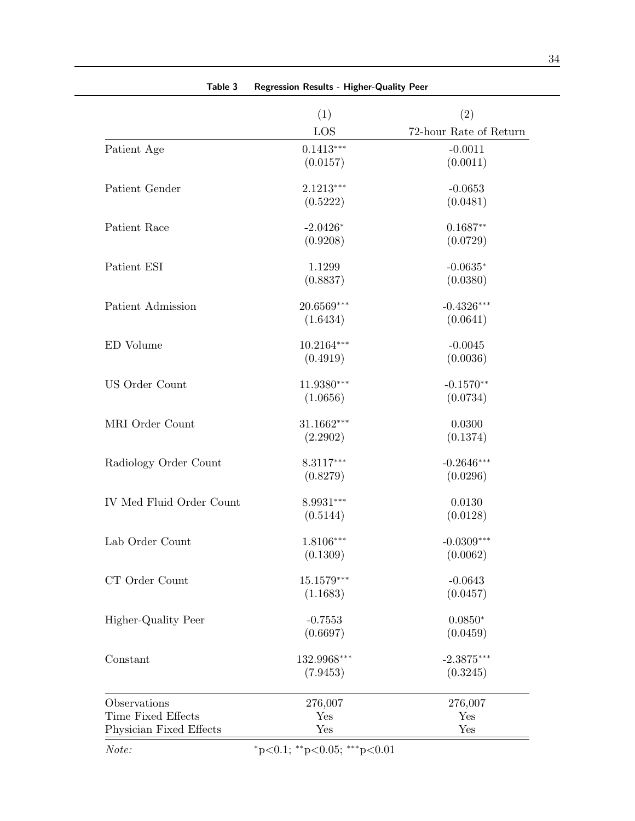| Table 3<br>Regression Results - Higher-Quality Peer |                             |                        |  |  |
|-----------------------------------------------------|-----------------------------|------------------------|--|--|
|                                                     | (1)                         | (2)                    |  |  |
|                                                     | LOS                         | 72-hour Rate of Return |  |  |
| Patient Age                                         | $0.1413***$                 | $-0.0011$              |  |  |
|                                                     | (0.0157)                    | (0.0011)               |  |  |
| Patient Gender                                      | $2.1213***$                 | $-0.0653$              |  |  |
|                                                     | (0.5222)                    | (0.0481)               |  |  |
| Patient Race                                        | $-2.0426*$                  | $0.1687**$             |  |  |
|                                                     | (0.9208)                    | (0.0729)               |  |  |
| Patient ESI                                         | 1.1299                      | $-0.0635*$             |  |  |
|                                                     | (0.8837)                    | (0.0380)               |  |  |
| Patient Admission                                   | 20.6569***                  | $-0.4326***$           |  |  |
|                                                     | (1.6434)                    | (0.0641)               |  |  |
| ED Volume                                           | $10.2164***$                | $-0.0045$              |  |  |
|                                                     | (0.4919)                    | (0.0036)               |  |  |
| US Order Count                                      | 11.9380***                  | $-0.1570**$            |  |  |
|                                                     | (1.0656)                    | (0.0734)               |  |  |
| MRI Order Count                                     | 31.1662***                  | 0.0300                 |  |  |
|                                                     | (2.2902)                    | (0.1374)               |  |  |
| Radiology Order Count                               | 8.3117***                   | $-0.2646***$           |  |  |
|                                                     | (0.8279)                    | (0.0296)               |  |  |
| IV Med Fluid Order Count                            | $8.9931***$                 | 0.0130                 |  |  |
|                                                     | (0.5144)                    | (0.0128)               |  |  |
| Lab Order Count                                     | $1.8106***$                 | $-0.0309***$           |  |  |
|                                                     | (0.1309)                    | (0.0062)               |  |  |
| CT Order Count                                      | $15.1579***$                | $-0.0643$              |  |  |
|                                                     | (1.1683)                    | (0.0457)               |  |  |
| Higher-Quality Peer                                 | $-0.7553$                   | $0.0850*$              |  |  |
|                                                     | (0.6697)                    | (0.0459)               |  |  |
| Constant                                            | $132.9968^{\ast\ast\ast}$   | $-2.3875***$           |  |  |
|                                                     | (7.9453)                    | (0.3245)               |  |  |
| Observations                                        | 276,007                     | 276,007                |  |  |
| Time Fixed Effects                                  | Yes                         | Yes                    |  |  |
| Physician Fixed Effects                             | Yes                         | Yes                    |  |  |
| Note:                                               | *p<0.1; **p<0.05; ***p<0.01 |                        |  |  |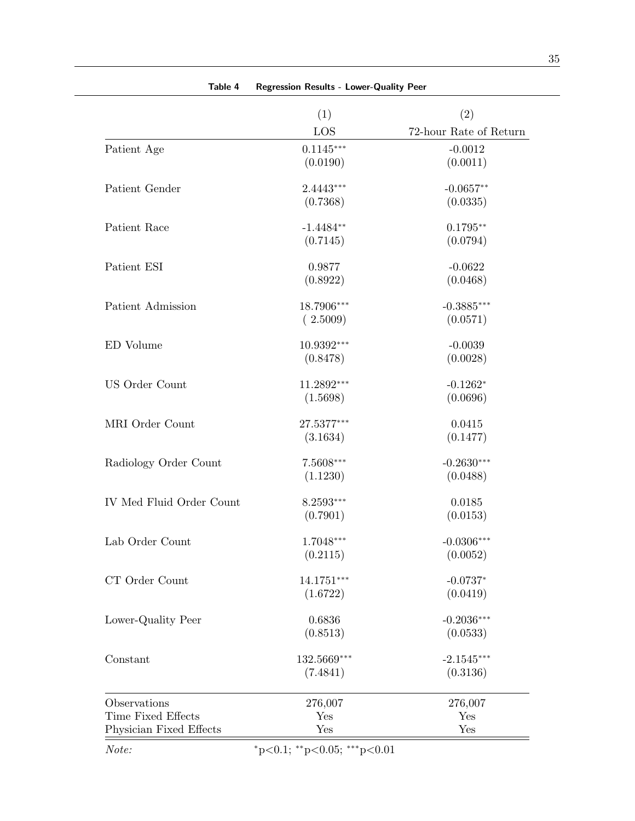| Table 4                  | Regression Results - Lower-Quality Peer |                          |  |  |
|--------------------------|-----------------------------------------|--------------------------|--|--|
|                          | (1)                                     | (2)                      |  |  |
|                          | LOS                                     | 72-hour Rate of Return   |  |  |
| Patient Age              | $0.1145***$                             | $-0.0012$                |  |  |
|                          | (0.0190)                                | (0.0011)                 |  |  |
|                          |                                         |                          |  |  |
| Patient Gender           | $2.4443***$                             | $-0.0657**$              |  |  |
|                          | (0.7368)                                | (0.0335)                 |  |  |
| Patient Race             | $-1.4484**$                             | $0.1795**$               |  |  |
|                          | (0.7145)                                | (0.0794)                 |  |  |
|                          |                                         |                          |  |  |
| Patient ESI              | 0.9877                                  | $-0.0622$                |  |  |
|                          | (0.8922)                                | (0.0468)                 |  |  |
|                          |                                         |                          |  |  |
| Patient Admission        | 18.7906***                              | $-0.3885***$             |  |  |
|                          | (2.5009)                                | (0.0571)                 |  |  |
| ED Volume                | 10.9392***                              | $-0.0039$                |  |  |
|                          | (0.8478)                                | (0.0028)                 |  |  |
|                          |                                         |                          |  |  |
| US Order Count           | $11.2892***$                            | $-0.1262*$               |  |  |
|                          | (1.5698)                                | (0.0696)                 |  |  |
| MRI Order Count          | 27.5377***                              | 0.0415                   |  |  |
|                          | (3.1634)                                | (0.1477)                 |  |  |
| Radiology Order Count    | 7.5608***                               | $-0.2630***$             |  |  |
|                          | (1.1230)                                | (0.0488)                 |  |  |
|                          |                                         |                          |  |  |
| IV Med Fluid Order Count | 8.2593***                               | 0.0185                   |  |  |
|                          | (0.7901)                                | (0.0153)                 |  |  |
| Lab Order Count          | $1.7048***$                             | $-0.0306***$             |  |  |
|                          | (0.2115)                                | (0.0052)                 |  |  |
|                          |                                         |                          |  |  |
| CT Order Count           | $14.1751***$                            | $-0.0737*$               |  |  |
|                          | (1.6722)                                | (0.0419)                 |  |  |
|                          |                                         |                          |  |  |
| Lower-Quality Peer       | 0.6836<br>(0.8513)                      | $-0.2036***$<br>(0.0533) |  |  |
|                          |                                         |                          |  |  |
| Constant                 | 132.5669***                             | $-2.1545***$             |  |  |
|                          | (7.4841)                                | (0.3136)                 |  |  |
| Observations             | 276,007                                 | 276,007                  |  |  |
| Time Fixed Effects       | Yes                                     | Yes                      |  |  |
| Physician Fixed Effects  | Yes                                     | Yes                      |  |  |
|                          |                                         |                          |  |  |
| Note:                    | $*_{p<0.1; *_{p<0.05; **_{p<0.01}}$     |                          |  |  |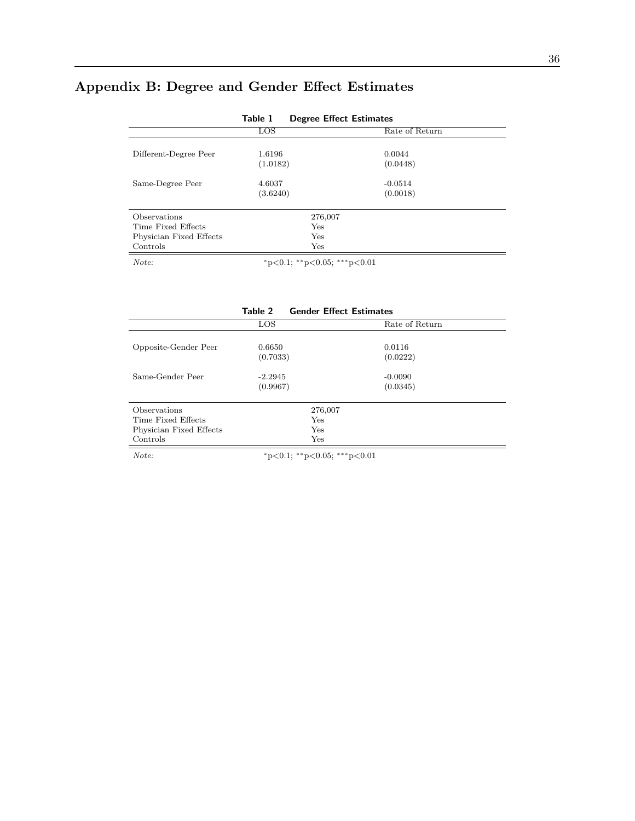# Appendix B: Degree and Gender Effect Estimates

| Table 1<br><b>Degree Effect Estimates</b> |
|-------------------------------------------|
|-------------------------------------------|

|                         | LOS      | Rate of Return              |
|-------------------------|----------|-----------------------------|
|                         |          |                             |
| Different-Degree Peer   | 1.6196   | 0.0044                      |
|                         | (1.0182) | (0.0448)                    |
|                         |          |                             |
| Same-Degree Peer        | 4.6037   | $-0.0514$                   |
|                         | (3.6240) | (0.0018)                    |
|                         |          |                             |
| Observations            |          | 276,007                     |
| Time Fixed Effects      |          | Yes                         |
| Physician Fixed Effects |          | Yes                         |
| Controls                |          | Yes                         |
| Note:                   |          | *p<0.1; **p<0.05; ***p<0.01 |

| Table 2<br><b>Gender Effect Estimates</b> |           |                |  |
|-------------------------------------------|-----------|----------------|--|
|                                           | LOS       | Rate of Return |  |
|                                           |           |                |  |
| Opposite-Gender Peer                      | 0.6650    | 0.0116         |  |
|                                           | (0.7033)  | (0.0222)       |  |
| Same-Gender Peer                          | $-2.2945$ | $-0.0090$      |  |
|                                           | (0.9967)  | (0.0345)       |  |
| Observations                              | 276,007   |                |  |
| Time Fixed Effects                        | Yes       |                |  |
| Physician Fixed Effects                   | Yes       |                |  |
| Controls                                  | Yes       |                |  |

 ${\it Note:}~~{\rm *p<0.1;}~{\rm *p<0.05;}~{\rm **p<0.01}$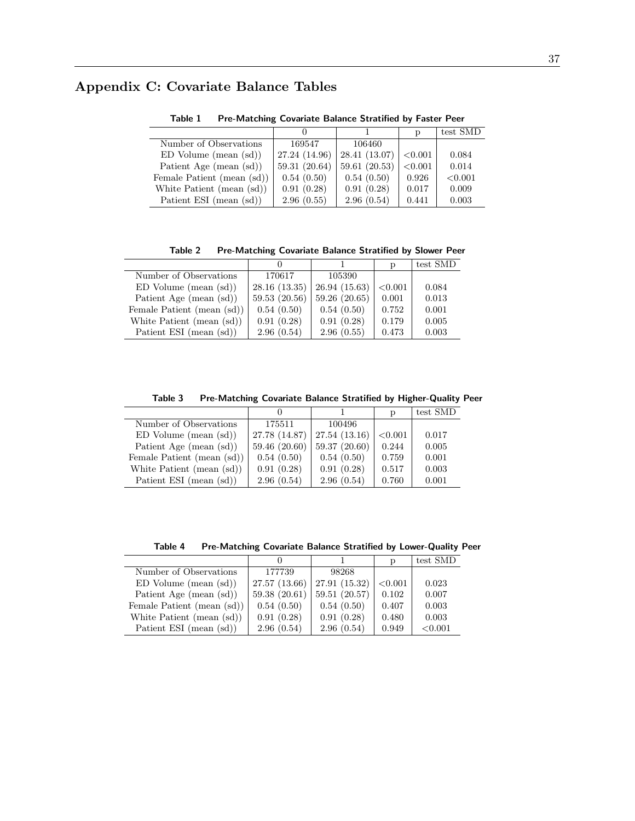# Appendix C: Covariate Balance Tables

|                            |               |               | p       | test SMD |
|----------------------------|---------------|---------------|---------|----------|
| Number of Observations     | 169547        | 106460        |         |          |
| $ED$ Volume (mean $(sd)$ ) | 27.24 (14.96) | 28.41 (13.07) | < 0.001 | 0.084    |
| Patient Age (mean (sd))    | 59.31(20.64)  | 59.61(20.53)  | < 0.001 | 0.014    |
| Female Patient (mean (sd)) | 0.54(0.50)    | 0.54(0.50)    | 0.926   | < 0.001  |
| White Patient (mean (sd))  | 0.91(0.28)    | 0.91(0.28)    | 0.017   | 0.009    |
| Patient ESI (mean (sd))    | 2.96(0.55)    | 2.96(0.54)    | 0.441   | 0.003    |

Table 1 Pre-Matching Covariate Balance Stratified by Faster Peer

Table 2 Pre-Matching Covariate Balance Stratified by Slower Peer

|                            |              |              | р       | test SMD |
|----------------------------|--------------|--------------|---------|----------|
| Number of Observations     | 170617       | 105390       |         |          |
| $ED$ Volume (mean $(sd)$ ) | 28.16(13.35) | 26.94(15.63) | < 0.001 | 0.084    |
| Patient Age (mean (sd))    | 59.53(20.56) | 59.26(20.65) | 0.001   | 0.013    |
| Female Patient (mean (sd)) | 0.54(0.50)   | 0.54(0.50)   | 0.752   | 0.001    |
| White Patient (mean (sd))  | 0.91(0.28)   | 0.91(0.28)   | 0.179   | 0.005    |
| Patient ESI (mean (sd))    | 2.96(0.54)   | 2.96(0.55)   | 0.473   | 0.003    |

Table 3 Pre-Matching Covariate Balance Stratified by Higher-Quality Peer

|                            |               |              | p       | test SMD |
|----------------------------|---------------|--------------|---------|----------|
| Number of Observations     | 175511        | 100496       |         |          |
| $ED$ Volume (mean $(sd)$ ) | 27.78 (14.87) | 27.54(13.16) | < 0.001 | 0.017    |
| Patient Age (mean (sd))    | 59.46 (20.60) | 59.37(20.60) | 0.244   | 0.005    |
| Female Patient (mean (sd)) | 0.54(0.50)    | 0.54(0.50)   | 0.759   | 0.001    |
| White Patient (mean (sd))  | 0.91(0.28)    | 0.91(0.28)   | 0.517   | 0.003    |
| Patient ESI (mean (sd))    | 2.96(0.54)    | 2.96(0.54)   | 0.760   | 0.001    |

Table 4 Pre-Matching Covariate Balance Stratified by Lower-Quality Peer

|                            | $\theta$      |               | p       | test SMD |
|----------------------------|---------------|---------------|---------|----------|
| Number of Observations     | 177739        | 98268         |         |          |
| $ED$ Volume (mean $(sd)$ ) | 27.57 (13.66) | 27.91 (15.32) | < 0.001 | 0.023    |
| Patient Age (mean (sd))    | 59.38 (20.61) | 59.51 (20.57) | 0.102   | 0.007    |
| Female Patient (mean (sd)) | 0.54(0.50)    | 0.54(0.50)    | 0.407   | 0.003    |
| White Patient (mean (sd))  | 0.91(0.28)    | 0.91(0.28)    | 0.480   | 0.003    |
| Patient ESI (mean (sd))    | 2.96(0.54)    | 2.96(0.54)    | 0.949   | < 0.001  |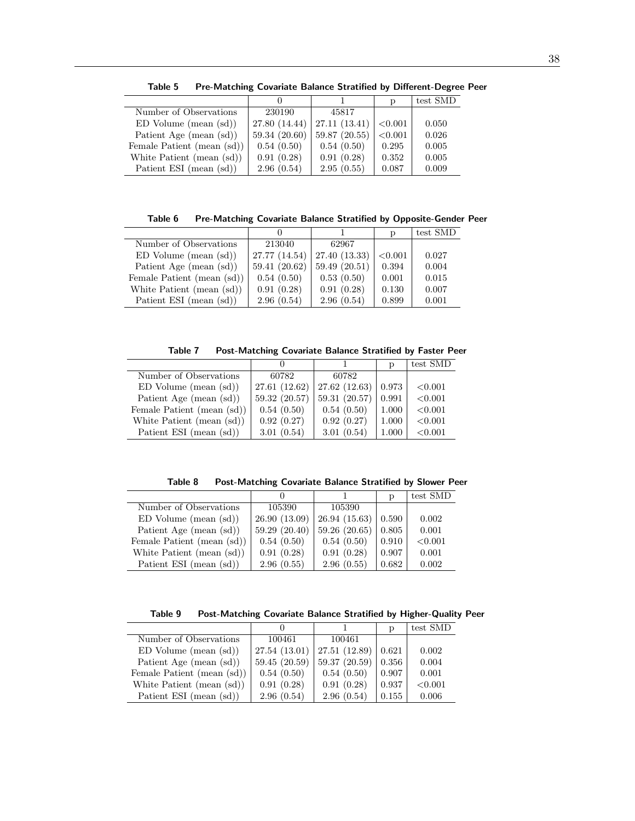|                            | $\cup$        |               | D       | test SMD |
|----------------------------|---------------|---------------|---------|----------|
| Number of Observations     | 230190        | 45817         |         |          |
| $ED$ Volume (mean $(sd)$ ) | 27.80 (14.44) | 27.11(13.41)  | < 0.001 | 0.050    |
| Patient Age (mean (sd))    | 59.34(20.60)  | 59.87 (20.55) | < 0.001 | 0.026    |
| Female Patient (mean (sd)) | 0.54(0.50)    | 0.54(0.50)    | 0.295   | 0.005    |
| White Patient (mean (sd))  | 0.91(0.28)    | 0.91(0.28)    | 0.352   | 0.005    |
| Patient ESI (mean (sd))    | 2.96(0.54)    | 2.95(0.55)    | 0.087   | 0.009    |

Table 5 Pre-Matching Covariate Balance Stratified by Different-Degree Peer

Table 6 Pre-Matching Covariate Balance Stratified by Opposite-Gender Peer

|                            |               |               | D       | test $\overline{\text{SMD}}$ |
|----------------------------|---------------|---------------|---------|------------------------------|
| Number of Observations     | 213040        | 62967         |         |                              |
| $ED$ Volume (mean $(sd)$ ) | 27.77 (14.54) | 27.40 (13.33) | < 0.001 | 0.027                        |
| Patient Age (mean (sd))    | 59.41 (20.62) | 59.49(20.51)  | 0.394   | 0.004                        |
| Female Patient (mean (sd)) | 0.54(0.50)    | 0.53(0.50)    | 0.001   | 0.015                        |
| White Patient (mean (sd))  | 0.91(0.28)    | 0.91(0.28)    | 0.130   | 0.007                        |
| Patient ESI (mean (sd))    | 2.96(0.54)    | 2.96(0.54)    | 0.899   | 0.001                        |

Table 7 Post-Matching Covariate Balance Stratified by Faster Peer

|                            |               |              | p     | test SMD |
|----------------------------|---------------|--------------|-------|----------|
| Number of Observations     | 60782         | 60782        |       |          |
| $ED$ Volume (mean $(sd)$ ) | 27.61 (12.62) | 27.62(12.63) | 0.973 | < 0.001  |
| Patient Age (mean (sd))    | 59.32 (20.57) | 59.31(20.57) | 0.991 | < 0.001  |
| Female Patient (mean (sd)) | 0.54(0.50)    | 0.54(0.50)   | 1.000 | < 0.001  |
| White Patient (mean (sd))  | 0.92(0.27)    | 0.92(0.27)   | 1.000 | < 0.001  |
| Patient ESI (mean (sd))    | 3.01(0.54)    | 3.01(0.54)   | 1.000 | < 0.001  |

Table 8 Post-Matching Covariate Balance Stratified by Slower Peer

|                            |               |               |              | test SMD |
|----------------------------|---------------|---------------|--------------|----------|
| Number of Observations     | 105390        | 105390        |              |          |
| $ED$ Volume (mean $(sd)$ ) | 26.90 (13.09) | 26.94(15.63)  | $\mid$ 0.590 | 0.002    |
| Patient Age (mean (sd))    | 59.29(20.40)  | 59.26 (20.65) | 0.805        | 0.001    |
| Female Patient (mean (sd)) | 0.54(0.50)    | 0.54(0.50)    | 0.910        | < 0.001  |
| White Patient (mean (sd))  | 0.91(0.28)    | 0.91(0.28)    | 0.907        | 0.001    |
| Patient ESI (mean (sd))    | 2.96(0.55)    | 2.96(0.55)    | 0.682        | 0.002    |

Table 9 Post-Matching Covariate Balance Stratified by Higher-Quality Peer

|                            |               |               | р     | test SMD |
|----------------------------|---------------|---------------|-------|----------|
| Number of Observations     | 100461        | 100461        |       |          |
| $ED$ Volume (mean $(sd)$ ) | 27.54 (13.01) | 27.51 (12.89) | 0.621 | 0.002    |
| Patient Age (mean (sd))    | 59.45 (20.59) | 59.37 (20.59) | 0.356 | 0.004    |
| Female Patient (mean (sd)) | 0.54(0.50)    | 0.54(0.50)    | 0.907 | 0.001    |
| White Patient (mean (sd))  | 0.91(0.28)    | 0.91(0.28)    | 0.937 | < 0.001  |
| Patient ESI (mean (sd))    | 2.96(0.54)    | 2.96(0.54)    | 0.155 | 0.006    |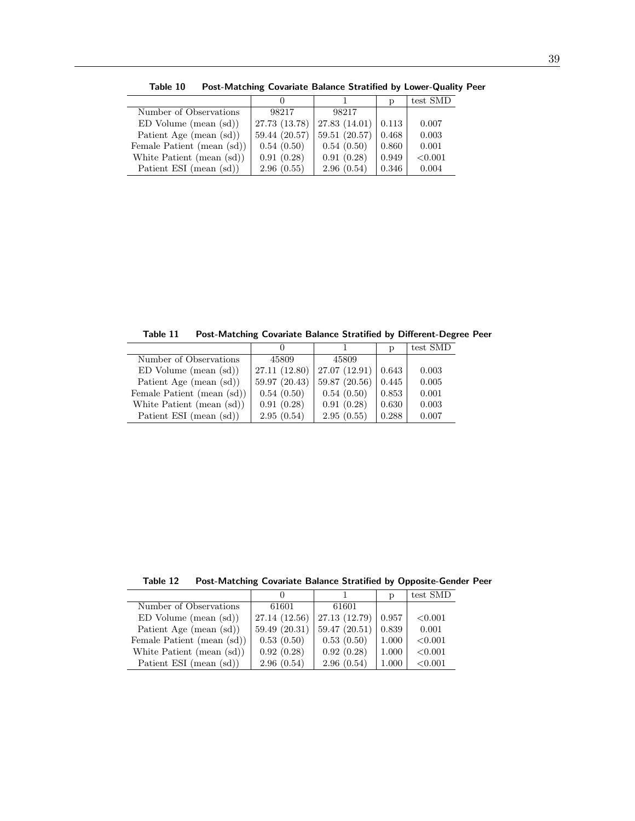|                            |               |                 | D     | test SMD |
|----------------------------|---------------|-----------------|-------|----------|
| Number of Observations     | 98217         | 98217           |       |          |
| $ED$ Volume (mean $(sd)$ ) | 27.73 (13.78) | 27.83 $(14.01)$ | 0.113 | 0.007    |
| Patient Age (mean (sd))    | 59.44 (20.57) | 59.51(20.57)    | 0.468 | 0.003    |
| Female Patient (mean (sd)) | 0.54(0.50)    | 0.54(0.50)      | 0.860 | 0.001    |
| White Patient (mean (sd))  | 0.91(0.28)    | 0.91(0.28)      | 0.949 | < 0.001  |
| Patient ESI (mean (sd))    | 2.96(0.55)    | 2.96(0.54)      | 0.346 | 0.004    |

Table 10 Post-Matching Covariate Balance Stratified by Lower-Quality Peer

Table 11 Post-Matching Covariate Balance Stratified by Different-Degree Peer

|                            |               |               | D     | test SMD |
|----------------------------|---------------|---------------|-------|----------|
| Number of Observations     | 45809         | 45809         |       |          |
| $ED$ Volume (mean $(sd)$ ) | 27.11 (12.80) | 27.07(12.91)  | 0.643 | 0.003    |
| Patient Age (mean (sd))    | 59.97 (20.43) | 59.87 (20.56) | 0.445 | 0.005    |
| Female Patient (mean (sd)) | 0.54(0.50)    | 0.54(0.50)    | 0.853 | 0.001    |
| White Patient (mean (sd))  | 0.91(0.28)    | 0.91(0.28)    | 0.630 | 0.003    |
| Patient ESI (mean (sd))    | 2.95(0.54)    | 2.95(0.55)    | 0.288 | 0.007    |

Table 12 Post-Matching Covariate Balance Stratified by Opposite-Gender Peer

|                            |               |               | p     | test SMD |
|----------------------------|---------------|---------------|-------|----------|
| Number of Observations     | 61601         | 61601         |       |          |
| $ED$ Volume (mean $(sd)$ ) | 27.14 (12.56) | 27.13 (12.79) | 0.957 | < 0.001  |
| Patient Age (mean (sd))    | 59.49(20.31)  | 59.47(20.51)  | 0.839 | 0.001    |
| Female Patient (mean (sd)) | 0.53(0.50)    | 0.53(0.50)    | 1.000 | < 0.001  |
| White Patient (mean (sd))  | 0.92(0.28)    | 0.92(0.28)    | 1.000 | < 0.001  |
| Patient ESI (mean (sd))    | 2.96(0.54)    | 2.96(0.54)    | 1.000 | < 0.001  |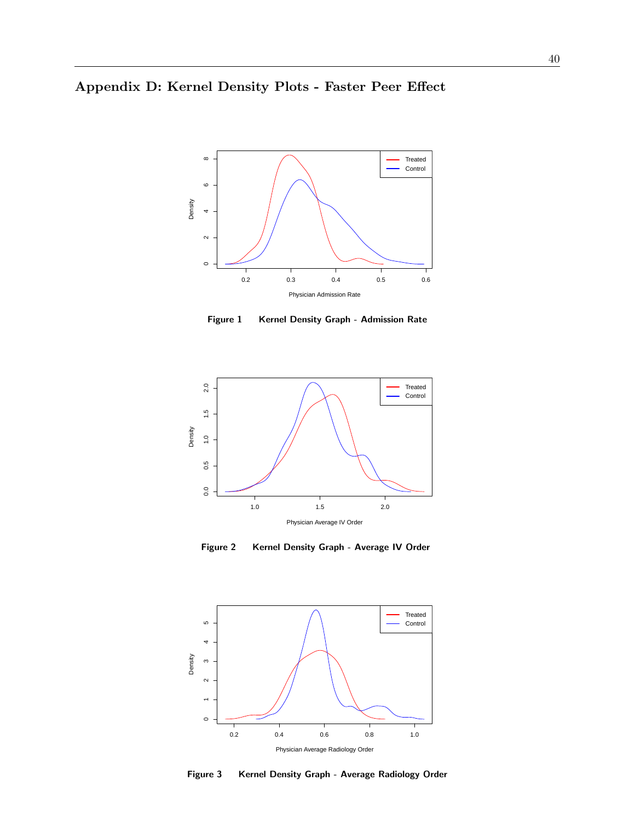# Appendix D: Kernel Density Plots - Faster Peer Effect



Figure 1 Kernel Density Graph - Admission Rate



Figure 2 Kernel Density Graph - Average IV Order



Figure 3 Kernel Density Graph - Average Radiology Order